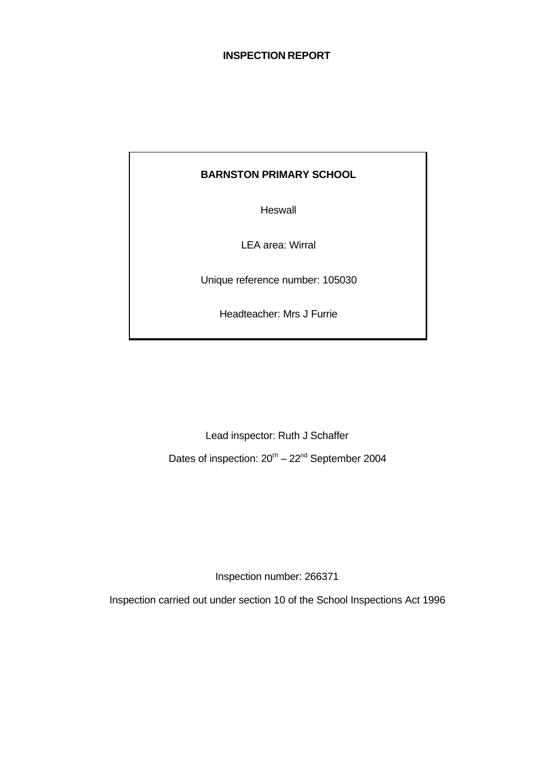#### **INSPECTION REPORT**

## **BARNSTON PRIMARY SCHOOL**

**Heswall** 

LEA area: Wirral

Unique reference number: 105030

Headteacher: Mrs J Furrie

Lead inspector: Ruth J Schaffer

Dates of inspection:  $20^{th} - 22^{nd}$  September 2004

Inspection number: 266371

Inspection carried out under section 10 of the School Inspections Act 1996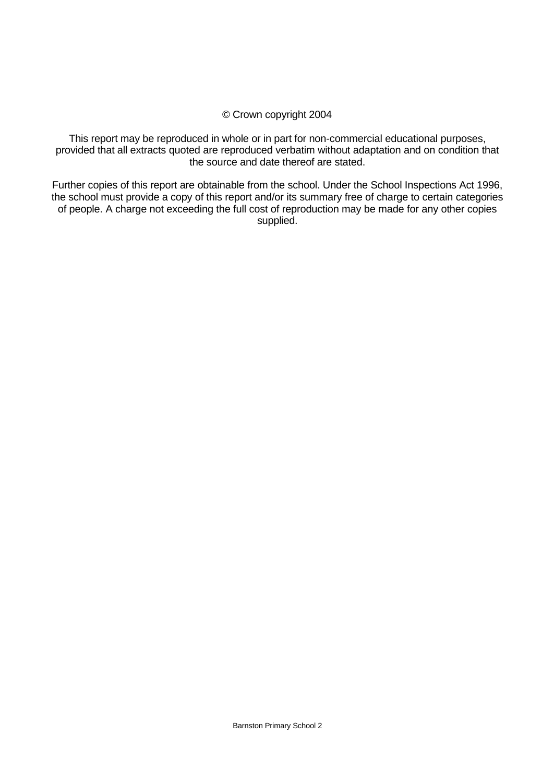#### © Crown copyright 2004

This report may be reproduced in whole or in part for non-commercial educational purposes, provided that all extracts quoted are reproduced verbatim without adaptation and on condition that the source and date thereof are stated.

Further copies of this report are obtainable from the school. Under the School Inspections Act 1996, the school must provide a copy of this report and/or its summary free of charge to certain categories of people. A charge not exceeding the full cost of reproduction may be made for any other copies supplied.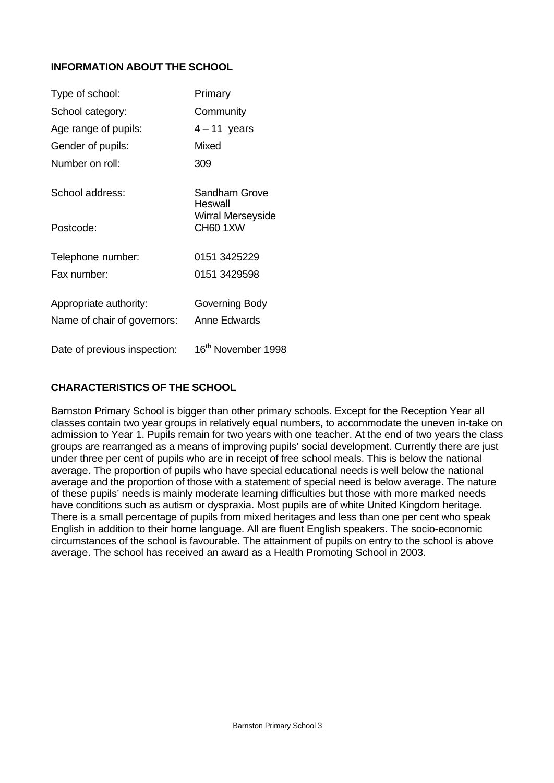# **INFORMATION ABOUT THE SCHOOL**

| Type of school:              | Primary                              |
|------------------------------|--------------------------------------|
| School category:             | Community                            |
| Age range of pupils:         | $4 - 11$ years                       |
| Gender of pupils:            | Mixed                                |
| Number on roll:              | 309                                  |
| School address:              | Sandham Grove<br>Heswall             |
| Postcode:                    | <b>Wirral Merseyside</b><br>CH60 1XW |
| Telephone number:            | 0151 3425229                         |
| Fax number:                  | 0151 3429598                         |
| Appropriate authority:       | Governing Body                       |
| Name of chair of governors:  | Anne Edwards                         |
| Date of previous inspection: | 16 <sup>th</sup> November 1998       |

## **CHARACTERISTICS OF THE SCHOOL**

Barnston Primary School is bigger than other primary schools. Except for the Reception Year all classes contain two year groups in relatively equal numbers, to accommodate the uneven in-take on admission to Year 1. Pupils remain for two years with one teacher. At the end of two years the class groups are rearranged as a means of improving pupils' social development. Currently there are just under three per cent of pupils who are in receipt of free school meals. This is below the national average. The proportion of pupils who have special educational needs is well below the national average and the proportion of those with a statement of special need is below average. The nature of these pupils' needs is mainly moderate learning difficulties but those with more marked needs have conditions such as autism or dyspraxia. Most pupils are of white United Kingdom heritage. There is a small percentage of pupils from mixed heritages and less than one per cent who speak English in addition to their home language. All are fluent English speakers. The socio-economic circumstances of the school is favourable. The attainment of pupils on entry to the school is above average. The school has received an award as a Health Promoting School in 2003.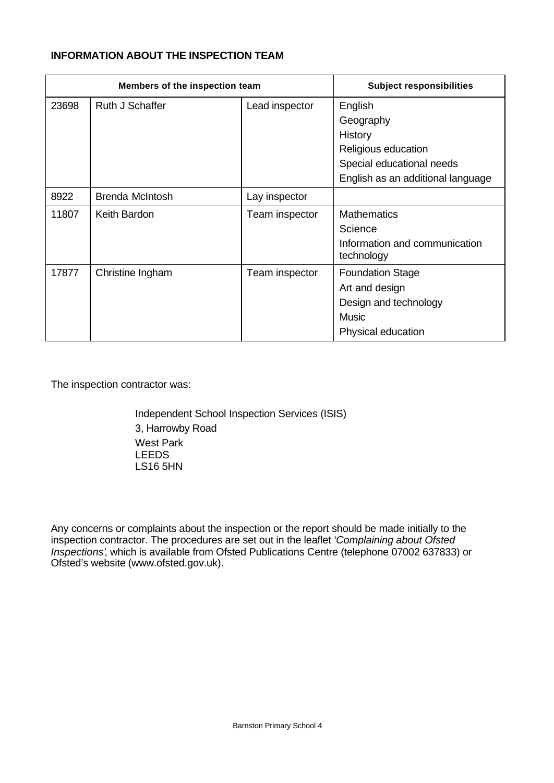#### **INFORMATION ABOUT THE INSPECTION TEAM**

|       | Members of the inspection team |                | <b>Subject responsibilities</b>                                                                          |
|-------|--------------------------------|----------------|----------------------------------------------------------------------------------------------------------|
| 23698 | Ruth J Schaffer                | Lead inspector | English<br>Geography                                                                                     |
|       |                                |                | History<br>Religious education<br>Special educational needs                                              |
|       |                                |                | English as an additional language                                                                        |
| 8922  | <b>Brenda McIntosh</b>         | Lay inspector  |                                                                                                          |
| 11807 | Keith Bardon                   | Team inspector | <b>Mathematics</b><br>Science<br>Information and communication<br>technology                             |
| 17877 | Christine Ingham               | Team inspector | <b>Foundation Stage</b><br>Art and design<br>Design and technology<br><b>Music</b><br>Physical education |

The inspection contractor was:

Independent School Inspection Services (ISIS) 3, Harrowby Road West Park LEEDS LS16 5HN

Any concerns or complaints about the inspection or the report should be made initially to the inspection contractor. The procedures are set out in the leaflet *'Complaining about Ofsted Inspections'*, which is available from Ofsted Publications Centre (telephone 07002 637833) or Ofsted's website (www.ofsted.gov.uk).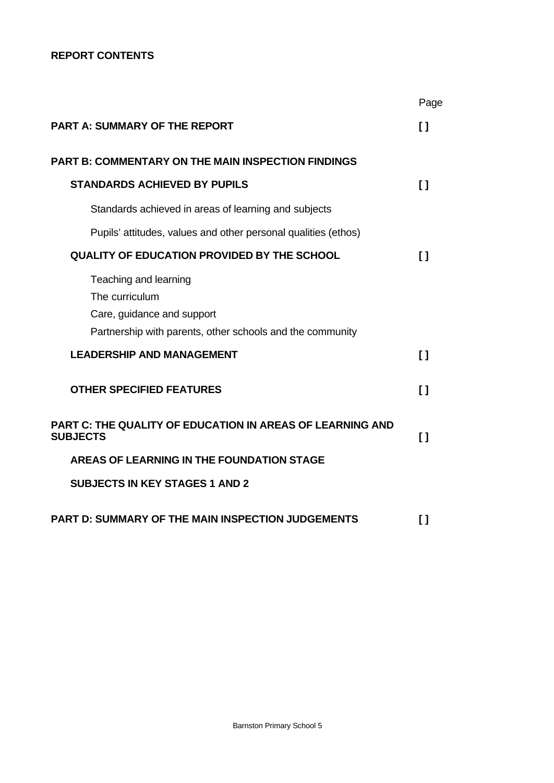## **REPORT CONTENTS**

|                                                                                                                                    | Page         |
|------------------------------------------------------------------------------------------------------------------------------------|--------------|
| <b>PART A: SUMMARY OF THE REPORT</b>                                                                                               | n            |
| <b>PART B: COMMENTARY ON THE MAIN INSPECTION FINDINGS</b>                                                                          |              |
| <b>STANDARDS ACHIEVED BY PUPILS</b>                                                                                                | $\mathbf{I}$ |
| Standards achieved in areas of learning and subjects                                                                               |              |
| Pupils' attitudes, values and other personal qualities (ethos)                                                                     |              |
| <b>QUALITY OF EDUCATION PROVIDED BY THE SCHOOL</b>                                                                                 | $\mathsf{I}$ |
| Teaching and learning<br>The curriculum<br>Care, guidance and support<br>Partnership with parents, other schools and the community |              |
| <b>LEADERSHIP AND MANAGEMENT</b>                                                                                                   | $\mathbf{I}$ |
| <b>OTHER SPECIFIED FEATURES</b>                                                                                                    | $\mathbf{I}$ |
| PART C: THE QUALITY OF EDUCATION IN AREAS OF LEARNING AND<br><b>SUBJECTS</b>                                                       | $\mathbf{I}$ |
| <b>AREAS OF LEARNING IN THE FOUNDATION STAGE</b>                                                                                   |              |
| <b>SUBJECTS IN KEY STAGES 1 AND 2</b>                                                                                              |              |
| <b>PART D: SUMMARY OF THE MAIN INSPECTION JUDGEMENTS</b>                                                                           | []           |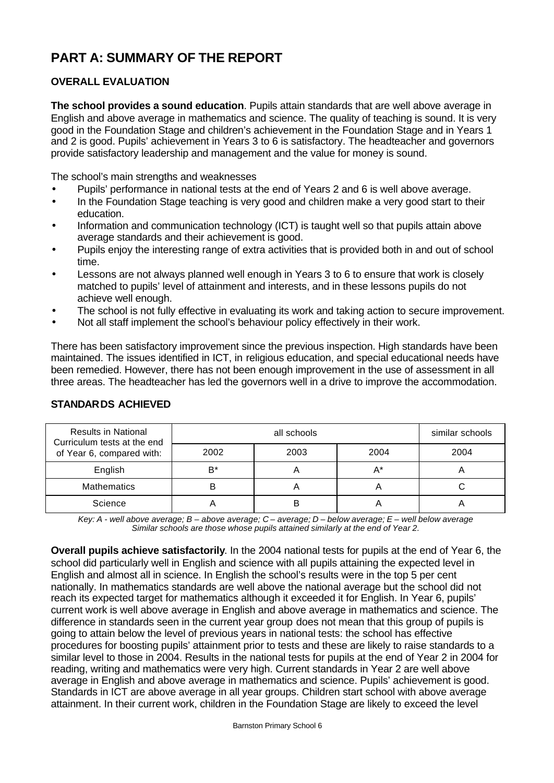# **PART A: SUMMARY OF THE REPORT**

## **OVERALL EVALUATION**

**The school provides a sound education**. Pupils attain standards that are well above average in English and above average in mathematics and science. The quality of teaching is sound. It is very good in the Foundation Stage and children's achievement in the Foundation Stage and in Years 1 and 2 is good. Pupils' achievement in Years 3 to 6 is satisfactory. The headteacher and governors provide satisfactory leadership and management and the value for money is sound.

The school's main strengths and weaknesses

- Pupils' performance in national tests at the end of Years 2 and 6 is well above average.
- In the Foundation Stage teaching is very good and children make a very good start to their education.
- Information and communication technology (ICT) is taught well so that pupils attain above average standards and their achievement is good.
- Pupils enjoy the interesting range of extra activities that is provided both in and out of school time.
- Lessons are not always planned well enough in Years 3 to 6 to ensure that work is closely matched to pupils' level of attainment and interests, and in these lessons pupils do not achieve well enough.
- The school is not fully effective in evaluating its work and taking action to secure improvement.
- Not all staff implement the school's behaviour policy effectively in their work.

There has been satisfactory improvement since the previous inspection. High standards have been maintained. The issues identified in ICT, in religious education, and special educational needs have been remedied. However, there has not been enough improvement in the use of assessment in all three areas. The headteacher has led the governors well in a drive to improve the accommodation.

| <b>Results in National</b><br>Curriculum tests at the end |       | similar schools |       |      |
|-----------------------------------------------------------|-------|-----------------|-------|------|
| of Year 6, compared with:                                 | 2002  | 2003            | 2004  | 2004 |
| English                                                   | $B^*$ |                 | $A^*$ |      |
| <b>Mathematics</b>                                        |       | ┌               |       |      |
| Science                                                   |       |                 |       |      |

#### **STANDARDS ACHIEVED**

*Key: A - well above average; B – above average; C – average; D – below average; E – well below average Similar schools are those whose pupils attained similarly at the end of Year 2.*

**Overall pupils achieve satisfactorily**. In the 2004 national tests for pupils at the end of Year 6, the school did particularly well in English and science with all pupils attaining the expected level in English and almost all in science. In English the school's results were in the top 5 per cent nationally. In mathematics standards are well above the national average but the school did not reach its expected target for mathematics although it exceeded it for English. In Year 6, pupils' current work is well above average in English and above average in mathematics and science. The difference in standards seen in the current year group does not mean that this group of pupils is going to attain below the level of previous years in national tests: the school has effective procedures for boosting pupils' attainment prior to tests and these are likely to raise standards to a similar level to those in 2004. Results in the national tests for pupils at the end of Year 2 in 2004 for reading, writing and mathematics were very high. Current standards in Year 2 are well above average in English and above average in mathematics and science. Pupils' achievement is good. Standards in ICT are above average in all year groups. Children start school with above average attainment. In their current work, children in the Foundation Stage are likely to exceed the level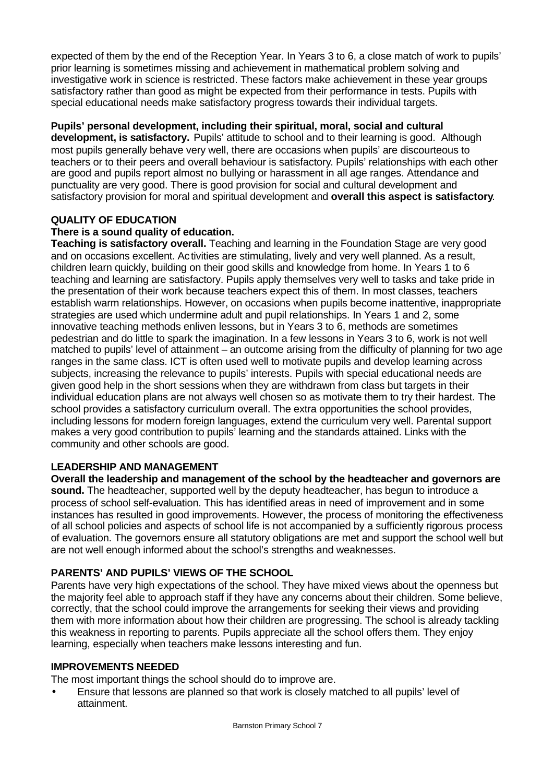expected of them by the end of the Reception Year. In Years 3 to 6, a close match of work to pupils' prior learning is sometimes missing and achievement in mathematical problem solving and investigative work in science is restricted. These factors make achievement in these year groups satisfactory rather than good as might be expected from their performance in tests. Pupils with special educational needs make satisfactory progress towards their individual targets.

## **Pupils' personal development, including their spiritual, moral, social and cultural**

**development, is satisfactory.** Pupils' attitude to school and to their learning is good. Although most pupils generally behave very well, there are occasions when pupils' are discourteous to teachers or to their peers and overall behaviour is satisfactory. Pupils' relationships with each other are good and pupils report almost no bullying or harassment in all age ranges. Attendance and punctuality are very good. There is good provision for social and cultural development and satisfactory provision for moral and spiritual development and **overall this aspect is satisfactory**.

### **QUALITY OF EDUCATION**

### **There is a sound quality of education.**

**Teaching is satisfactory overall.** Teaching and learning in the Foundation Stage are very good and on occasions excellent. Activities are stimulating, lively and very well planned. As a result, children learn quickly, building on their good skills and knowledge from home. In Years 1 to 6 teaching and learning are satisfactory. Pupils apply themselves very well to tasks and take pride in the presentation of their work because teachers expect this of them. In most classes, teachers establish warm relationships. However, on occasions when pupils become inattentive, inappropriate strategies are used which undermine adult and pupil relationships. In Years 1 and 2, some innovative teaching methods enliven lessons, but in Years 3 to 6, methods are sometimes pedestrian and do little to spark the imagination. In a few lessons in Years 3 to 6, work is not well matched to pupils' level of attainment – an outcome arising from the difficulty of planning for two age ranges in the same class. ICT is often used well to motivate pupils and develop learning across subjects, increasing the relevance to pupils' interests. Pupils with special educational needs are given good help in the short sessions when they are withdrawn from class but targets in their individual education plans are not always well chosen so as motivate them to try their hardest. The school provides a satisfactory curriculum overall. The extra opportunities the school provides, including lessons for modern foreign languages, extend the curriculum very well. Parental support makes a very good contribution to pupils' learning and the standards attained. Links with the community and other schools are good.

#### **LEADERSHIP AND MANAGEMENT**

**Overall the leadership and management of the school by the headteacher and governors are sound.** The headteacher, supported well by the deputy headteacher, has begun to introduce a process of school self-evaluation. This has identified areas in need of improvement and in some instances has resulted in good improvements. However, the process of monitoring the effectiveness of all school policies and aspects of school life is not accompanied by a sufficiently rigorous process of evaluation. The governors ensure all statutory obligations are met and support the school well but are not well enough informed about the school's strengths and weaknesses.

## **PARENTS' AND PUPILS' VIEWS OF THE SCHOOL**

Parents have very high expectations of the school. They have mixed views about the openness but the majority feel able to approach staff if they have any concerns about their children. Some believe, correctly, that the school could improve the arrangements for seeking their views and providing them with more information about how their children are progressing. The school is already tackling this weakness in reporting to parents. Pupils appreciate all the school offers them. They enjoy learning, especially when teachers make lessons interesting and fun.

#### **IMPROVEMENTS NEEDED**

The most important things the school should do to improve are.

• Ensure that lessons are planned so that work is closely matched to all pupils' level of attainment.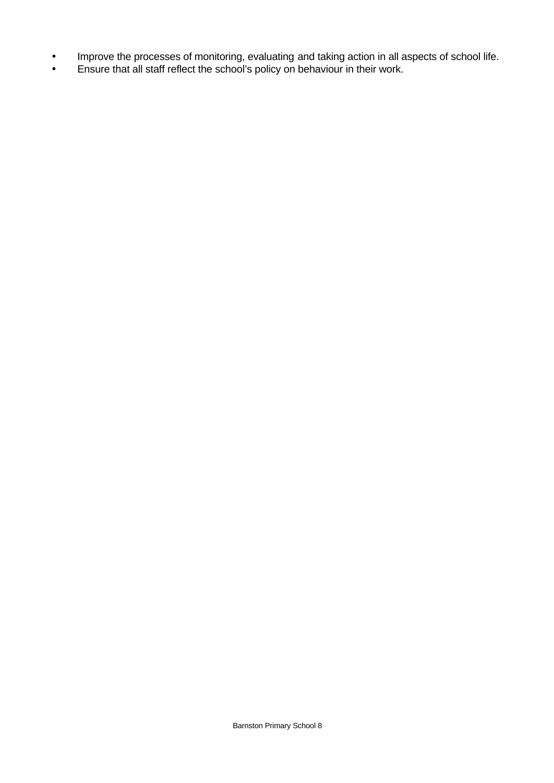- Improve the processes of monitoring, evaluating and taking action in all aspects of school life.
- Ensure that all staff reflect the school's policy on behaviour in their work.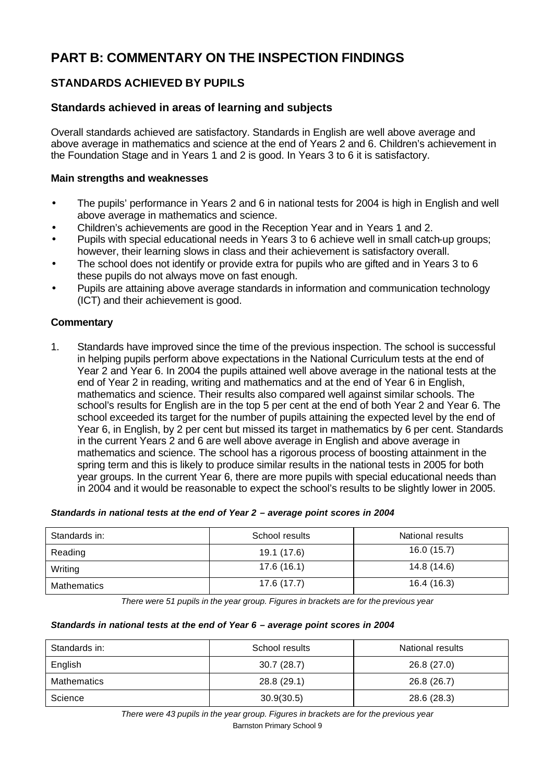# **PART B: COMMENTARY ON THE INSPECTION FINDINGS**

# **STANDARDS ACHIEVED BY PUPILS**

# **Standards achieved in areas of learning and subjects**

Overall standards achieved are satisfactory. Standards in English are well above average and above average in mathematics and science at the end of Years 2 and 6. Children's achievement in the Foundation Stage and in Years 1 and 2 is good. In Years 3 to 6 it is satisfactory.

### **Main strengths and weaknesses**

- The pupils' performance in Years 2 and 6 in national tests for 2004 is high in English and well above average in mathematics and science.
- Children's achievements are good in the Reception Year and in Years 1 and 2.
- Pupils with special educational needs in Years 3 to 6 achieve well in small catch-up groups; however, their learning slows in class and their achievement is satisfactory overall.
- The school does not identify or provide extra for pupils who are gifted and in Years 3 to 6 these pupils do not always move on fast enough.
- Pupils are attaining above average standards in information and communication technology (ICT) and their achievement is good.

## **Commentary**

1. Standards have improved since the time of the previous inspection. The school is successful in helping pupils perform above expectations in the National Curriculum tests at the end of Year 2 and Year 6. In 2004 the pupils attained well above average in the national tests at the end of Year 2 in reading, writing and mathematics and at the end of Year 6 in English, mathematics and science. Their results also compared well against similar schools. The school's results for English are in the top 5 per cent at the end of both Year 2 and Year 6. The school exceeded its target for the number of pupils attaining the expected level by the end of Year 6, in English, by 2 per cent but missed its target in mathematics by 6 per cent. Standards in the current Years 2 and 6 are well above average in English and above average in mathematics and science. The school has a rigorous process of boosting attainment in the spring term and this is likely to produce similar results in the national tests in 2005 for both year groups. In the current Year 6, there are more pupils with special educational needs than in 2004 and it would be reasonable to expect the school's results to be slightly lower in 2005.

#### *Standards in national tests at the end of Year 2 – average point scores in 2004*

| Standards in: | School results | National results |
|---------------|----------------|------------------|
| Reading       | 19.1 (17.6)    | 16.0(15.7)       |
| Writing       | 17.6 (16.1)    | 14.8 (14.6)      |
| Mathematics   | 17.6(17.7)     | 16.4 (16.3)      |

*There were 51 pupils in the year group. Figures in brackets are for the previous year*

#### *Standards in national tests at the end of Year 6 – average point scores in 2004*

| Standards in: | School results | National results |
|---------------|----------------|------------------|
| English       | 30.7(28.7)     | 26.8 (27.0)      |
| Mathematics   | 28.8 (29.1)    | 26.8 (26.7)      |
| Science       | 30.9(30.5)     | 28.6 (28.3)      |

Barnston Primary School 9 *There were 43 pupils in the year group. Figures in brackets are for the previous year*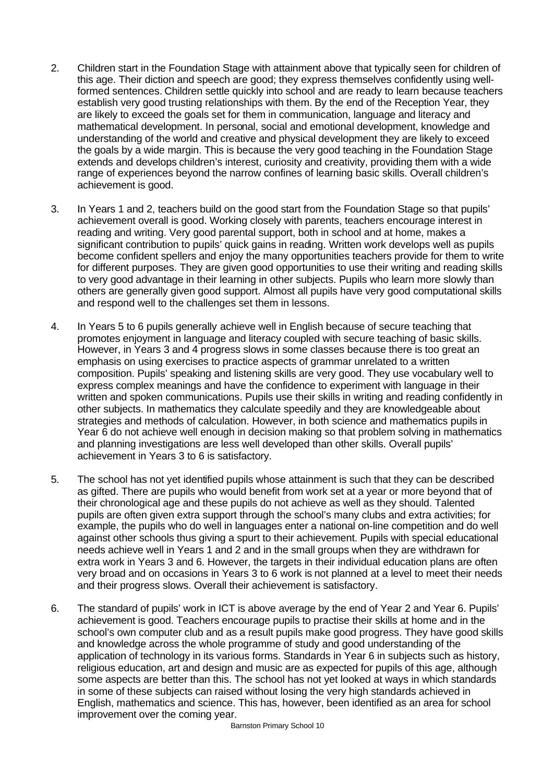- 2. Children start in the Foundation Stage with attainment above that typically seen for children of this age. Their diction and speech are good; they express themselves confidently using wellformed sentences. Children settle quickly into school and are ready to learn because teachers establish very good trusting relationships with them. By the end of the Reception Year, they are likely to exceed the goals set for them in communication, language and literacy and mathematical development. In personal, social and emotional development, knowledge and understanding of the world and creative and physical development they are likely to exceed the goals by a wide margin. This is because the very good teaching in the Foundation Stage extends and develops children's interest, curiosity and creativity, providing them with a wide range of experiences beyond the narrow confines of learning basic skills. Overall children's achievement is good.
- 3. In Years 1 and 2, teachers build on the good start from the Foundation Stage so that pupils' achievement overall is good. Working closely with parents, teachers encourage interest in reading and writing. Very good parental support, both in school and at home, makes a significant contribution to pupils' quick gains in reading. Written work develops well as pupils become confident spellers and enjoy the many opportunities teachers provide for them to write for different purposes. They are given good opportunities to use their writing and reading skills to very good advantage in their learning in other subjects. Pupils who learn more slowly than others are generally given good support. Almost all pupils have very good computational skills and respond well to the challenges set them in lessons.
- 4. In Years 5 to 6 pupils generally achieve well in English because of secure teaching that promotes enjoyment in language and literacy coupled with secure teaching of basic skills. However, in Years 3 and 4 progress slows in some classes because there is too great an emphasis on using exercises to practice aspects of grammar unrelated to a written composition. Pupils' speaking and listening skills are very good. They use vocabulary well to express complex meanings and have the confidence to experiment with language in their written and spoken communications. Pupils use their skills in writing and reading confidently in other subjects. In mathematics they calculate speedily and they are knowledgeable about strategies and methods of calculation. However, in both science and mathematics pupils in Year 6 do not achieve well enough in decision making so that problem solving in mathematics and planning investigations are less well developed than other skills. Overall pupils' achievement in Years 3 to 6 is satisfactory.
- 5. The school has not yet identified pupils whose attainment is such that they can be described as gifted. There are pupils who would benefit from work set at a year or more beyond that of their chronological age and these pupils do not achieve as well as they should. Talented pupils are often given extra support through the school's many clubs and extra activities; for example, the pupils who do well in languages enter a national on-line competition and do well against other schools thus giving a spurt to their achievement. Pupils with special educational needs achieve well in Years 1 and 2 and in the small groups when they are withdrawn for extra work in Years 3 and 6. However, the targets in their individual education plans are often very broad and on occasions in Years 3 to 6 work is not planned at a level to meet their needs and their progress slows. Overall their achievement is satisfactory.
- 6. The standard of pupils' work in ICT is above average by the end of Year 2 and Year 6. Pupils' achievement is good. Teachers encourage pupils to practise their skills at home and in the school's own computer club and as a result pupils make good progress. They have good skills and knowledge across the whole programme of study and good understanding of the application of technology in its various forms. Standards in Year 6 in subjects such as history, religious education, art and design and music are as expected for pupils of this age, although some aspects are better than this. The school has not yet looked at ways in which standards in some of these subjects can raised without losing the very high standards achieved in English, mathematics and science. This has, however, been identified as an area for school improvement over the coming year.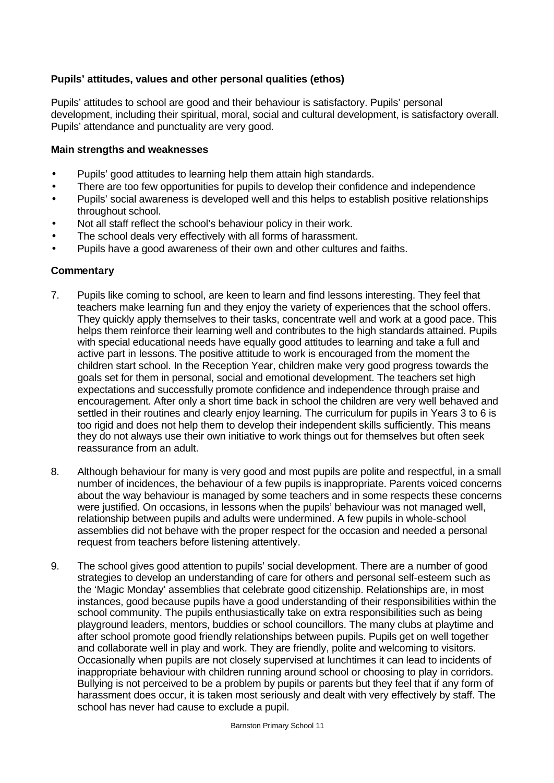## **Pupils' attitudes, values and other personal qualities (ethos)**

Pupils' attitudes to school are good and their behaviour is satisfactory. Pupils' personal development, including their spiritual, moral, social and cultural development, is satisfactory overall. Pupils' attendance and punctuality are very good.

#### **Main strengths and weaknesses**

- Pupils' good attitudes to learning help them attain high standards.
- There are too few opportunities for pupils to develop their confidence and independence
- Pupils' social awareness is developed well and this helps to establish positive relationships throughout school.
- Not all staff reflect the school's behaviour policy in their work.
- The school deals very effectively with all forms of harassment.
- Pupils have a good awareness of their own and other cultures and faiths.

- 7. Pupils like coming to school, are keen to learn and find lessons interesting. They feel that teachers make learning fun and they enjoy the variety of experiences that the school offers. They quickly apply themselves to their tasks, concentrate well and work at a good pace. This helps them reinforce their learning well and contributes to the high standards attained. Pupils with special educational needs have equally good attitudes to learning and take a full and active part in lessons. The positive attitude to work is encouraged from the moment the children start school. In the Reception Year, children make very good progress towards the goals set for them in personal, social and emotional development. The teachers set high expectations and successfully promote confidence and independence through praise and encouragement. After only a short time back in school the children are very well behaved and settled in their routines and clearly enjoy learning. The curriculum for pupils in Years 3 to 6 is too rigid and does not help them to develop their independent skills sufficiently. This means they do not always use their own initiative to work things out for themselves but often seek reassurance from an adult.
- 8. Although behaviour for many is very good and most pupils are polite and respectful, in a small number of incidences, the behaviour of a few pupils is inappropriate. Parents voiced concerns about the way behaviour is managed by some teachers and in some respects these concerns were justified. On occasions, in lessons when the pupils' behaviour was not managed well, relationship between pupils and adults were undermined. A few pupils in whole-school assemblies did not behave with the proper respect for the occasion and needed a personal request from teachers before listening attentively.
- 9. The school gives good attention to pupils' social development. There are a number of good strategies to develop an understanding of care for others and personal self-esteem such as the 'Magic Monday' assemblies that celebrate good citizenship. Relationships are, in most instances, good because pupils have a good understanding of their responsibilities within the school community. The pupils enthusiastically take on extra responsibilities such as being playground leaders, mentors, buddies or school councillors. The many clubs at playtime and after school promote good friendly relationships between pupils. Pupils get on well together and collaborate well in play and work. They are friendly, polite and welcoming to visitors. Occasionally when pupils are not closely supervised at lunchtimes it can lead to incidents of inappropriate behaviour with children running around school or choosing to play in corridors. Bullying is not perceived to be a problem by pupils or parents but they feel that if any form of harassment does occur, it is taken most seriously and dealt with very effectively by staff. The school has never had cause to exclude a pupil.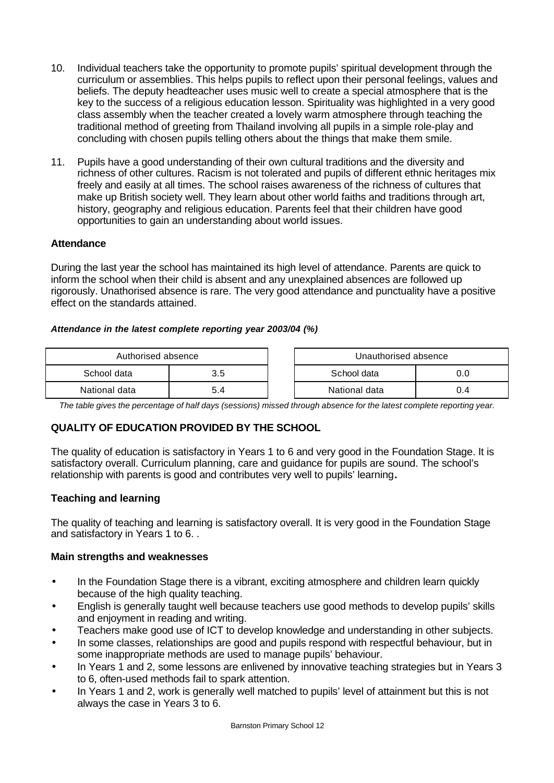- 10. Individual teachers take the opportunity to promote pupils' spiritual development through the curriculum or assemblies. This helps pupils to reflect upon their personal feelings, values and beliefs. The deputy headteacher uses music well to create a special atmosphere that is the key to the success of a religious education lesson. Spirituality was highlighted in a very good class assembly when the teacher created a lovely warm atmosphere through teaching the traditional method of greeting from Thailand involving all pupils in a simple role-play and concluding with chosen pupils telling others about the things that make them smile.
- 11. Pupils have a good understanding of their own cultural traditions and the diversity and richness of other cultures. Racism is not tolerated and pupils of different ethnic heritages mix freely and easily at all times. The school raises awareness of the richness of cultures that make up British society well. They learn about other world faiths and traditions through art, history, geography and religious education. Parents feel that their children have good opportunities to gain an understanding about world issues.

## **Attendance**

During the last year the school has maintained its high level of attendance. Parents are quick to inform the school when their child is absent and any unexplained absences are followed up rigorously. Unathorised absence is rare. The very good attendance and punctuality have a positive effect on the standards attained.

### *Attendance in the latest complete reporting year 2003/04 (%)*

| Authorised absence |     | Unauthorised absence |     |  |
|--------------------|-----|----------------------|-----|--|
| School data        | 3.5 | School data          |     |  |
| National data      |     | National data        | J.4 |  |

*The table gives the percentage of half days (sessions) missed through absence for the latest complete reporting year.*

## **QUALITY OF EDUCATION PROVIDED BY THE SCHOOL**

The quality of education is satisfactory in Years 1 to 6 and very good in the Foundation Stage. It is satisfactory overall. Curriculum planning, care and guidance for pupils are sound. The school's relationship with parents is good and contributes very well to pupils' learning**.**

## **Teaching and learning**

The quality of teaching and learning is satisfactory overall. It is very good in the Foundation Stage and satisfactory in Years 1 to 6. .

#### **Main strengths and weaknesses**

- In the Foundation Stage there is a vibrant, exciting atmosphere and children learn quickly because of the high quality teaching.
- English is generally taught well because teachers use good methods to develop pupils' skills and enjoyment in reading and writing.
- Teachers make good use of ICT to develop knowledge and understanding in other subjects.
- In some classes, relationships are good and pupils respond with respectful behaviour, but in some inappropriate methods are used to manage pupils' behaviour.
- In Years 1 and 2, some lessons are enlivened by innovative teaching strategies but in Years 3 to 6, often-used methods fail to spark attention.
- In Years 1 and 2, work is generally well matched to pupils' level of attainment but this is not always the case in Years 3 to 6.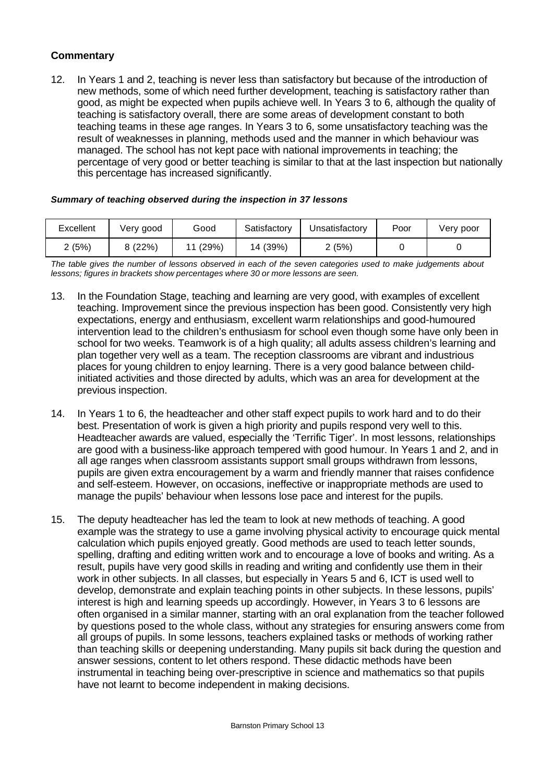## **Commentary**

12. In Years 1 and 2, teaching is never less than satisfactory but because of the introduction of new methods, some of which need further development, teaching is satisfactory rather than good, as might be expected when pupils achieve well. In Years 3 to 6, although the quality of teaching is satisfactory overall, there are some areas of development constant to both teaching teams in these age ranges. In Years 3 to 6, some unsatisfactory teaching was the result of weaknesses in planning, methods used and the manner in which behaviour was managed. The school has not kept pace with national improvements in teaching; the percentage of very good or better teaching is similar to that at the last inspection but nationally this percentage has increased significantly.

| Excellent | Verv good | Good  | Satisfactory | Unsatisfactory | Poor | Very poor |
|-----------|-----------|-------|--------------|----------------|------|-----------|
| 2(5%)     | 8 (22%)   | (29%) | 14 (39%)     | 2 (5%)         |      |           |

#### *Summary of teaching observed during the inspection in 37 lessons*

*The table gives the number of lessons observed in each of the seven categories used to make judgements about lessons; figures in brackets show percentages where 30 or more lessons are seen.*

- 13. In the Foundation Stage, teaching and learning are very good, with examples of excellent teaching. Improvement since the previous inspection has been good. Consistently very high expectations, energy and enthusiasm, excellent warm relationships and good-humoured intervention lead to the children's enthusiasm for school even though some have only been in school for two weeks. Teamwork is of a high quality; all adults assess children's learning and plan together very well as a team. The reception classrooms are vibrant and industrious places for young children to enjoy learning. There is a very good balance between childinitiated activities and those directed by adults, which was an area for development at the previous inspection.
- 14. In Years 1 to 6, the headteacher and other staff expect pupils to work hard and to do their best. Presentation of work is given a high priority and pupils respond very well to this. Headteacher awards are valued, especially the 'Terrific Tiger'. In most lessons, relationships are good with a business-like approach tempered with good humour. In Years 1 and 2, and in all age ranges when classroom assistants support small groups withdrawn from lessons, pupils are given extra encouragement by a warm and friendly manner that raises confidence and self-esteem. However, on occasions, ineffective or inappropriate methods are used to manage the pupils' behaviour when lessons lose pace and interest for the pupils.
- 15. The deputy headteacher has led the team to look at new methods of teaching. A good example was the strategy to use a game involving physical activity to encourage quick mental calculation which pupils enjoyed greatly. Good methods are used to teach letter sounds, spelling, drafting and editing written work and to encourage a love of books and writing. As a result, pupils have very good skills in reading and writing and confidently use them in their work in other subjects. In all classes, but especially in Years 5 and 6, ICT is used well to develop, demonstrate and explain teaching points in other subjects. In these lessons, pupils' interest is high and learning speeds up accordingly. However, in Years 3 to 6 lessons are often organised in a similar manner, starting with an oral explanation from the teacher followed by questions posed to the whole class, without any strategies for ensuring answers come from all groups of pupils. In some lessons, teachers explained tasks or methods of working rather than teaching skills or deepening understanding. Many pupils sit back during the question and answer sessions, content to let others respond. These didactic methods have been instrumental in teaching being over-prescriptive in science and mathematics so that pupils have not learnt to become independent in making decisions.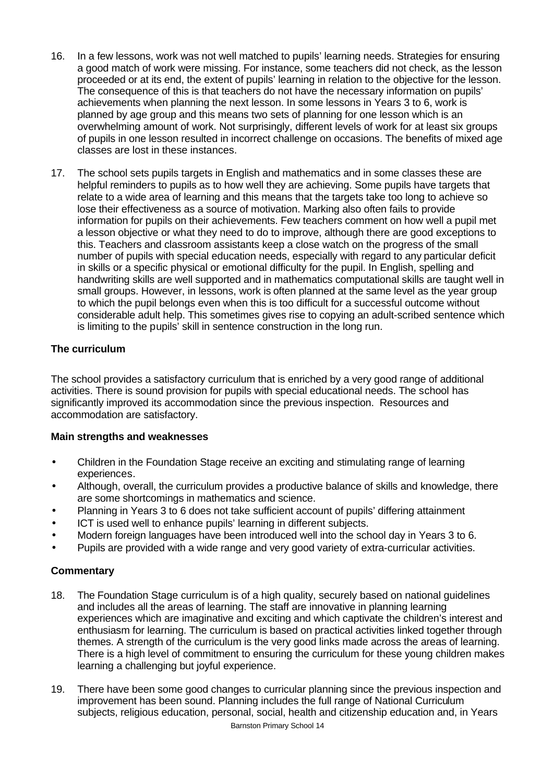- 16. In a few lessons, work was not well matched to pupils' learning needs. Strategies for ensuring a good match of work were missing. For instance, some teachers did not check, as the lesson proceeded or at its end, the extent of pupils' learning in relation to the objective for the lesson. The consequence of this is that teachers do not have the necessary information on pupils' achievements when planning the next lesson. In some lessons in Years 3 to 6, work is planned by age group and this means two sets of planning for one lesson which is an overwhelming amount of work. Not surprisingly, different levels of work for at least six groups of pupils in one lesson resulted in incorrect challenge on occasions. The benefits of mixed age classes are lost in these instances.
- 17. The school sets pupils targets in English and mathematics and in some classes these are helpful reminders to pupils as to how well they are achieving. Some pupils have targets that relate to a wide area of learning and this means that the targets take too long to achieve so lose their effectiveness as a source of motivation. Marking also often fails to provide information for pupils on their achievements. Few teachers comment on how well a pupil met a lesson objective or what they need to do to improve, although there are good exceptions to this. Teachers and classroom assistants keep a close watch on the progress of the small number of pupils with special education needs, especially with regard to any particular deficit in skills or a specific physical or emotional difficulty for the pupil. In English, spelling and handwriting skills are well supported and in mathematics computational skills are taught well in small groups. However, in lessons, work is often planned at the same level as the year group to which the pupil belongs even when this is too difficult for a successful outcome without considerable adult help. This sometimes gives rise to copying an adult-scribed sentence which is limiting to the pupils' skill in sentence construction in the long run.

## **The curriculum**

The school provides a satisfactory curriculum that is enriched by a very good range of additional activities. There is sound provision for pupils with special educational needs. The school has significantly improved its accommodation since the previous inspection. Resources and accommodation are satisfactory.

#### **Main strengths and weaknesses**

- Children in the Foundation Stage receive an exciting and stimulating range of learning experiences.
- Although, overall, the curriculum provides a productive balance of skills and knowledge, there are some shortcomings in mathematics and science.
- Planning in Years 3 to 6 does not take sufficient account of pupils' differing attainment
- ICT is used well to enhance pupils' learning in different subjects.
- Modern foreign languages have been introduced well into the school day in Years 3 to 6.
- Pupils are provided with a wide range and very good variety of extra-curricular activities.

- 18. The Foundation Stage curriculum is of a high quality, securely based on national guidelines and includes all the areas of learning. The staff are innovative in planning learning experiences which are imaginative and exciting and which captivate the children's interest and enthusiasm for learning. The curriculum is based on practical activities linked together through themes. A strength of the curriculum is the very good links made across the areas of learning. There is a high level of commitment to ensuring the curriculum for these young children makes learning a challenging but joyful experience.
- 19. There have been some good changes to curricular planning since the previous inspection and improvement has been sound. Planning includes the full range of National Curriculum subjects, religious education, personal, social, health and citizenship education and, in Years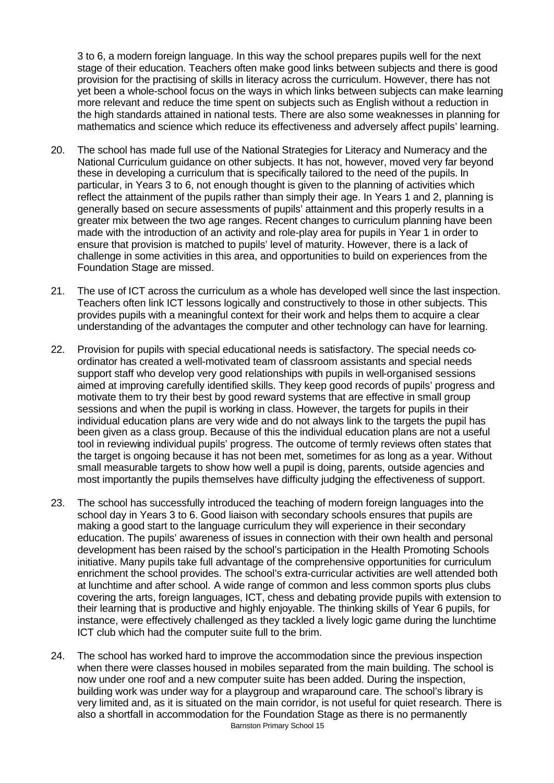3 to 6, a modern foreign language. In this way the school prepares pupils well for the next stage of their education. Teachers often make good links between subjects and there is good provision for the practising of skills in literacy across the curriculum. However, there has not yet been a whole-school focus on the ways in which links between subjects can make learning more relevant and reduce the time spent on subjects such as English without a reduction in the high standards attained in national tests. There are also some weaknesses in planning for mathematics and science which reduce its effectiveness and adversely affect pupils' learning.

- 20. The school has made full use of the National Strategies for Literacy and Numeracy and the National Curriculum guidance on other subjects. It has not, however, moved very far beyond these in developing a curriculum that is specifically tailored to the need of the pupils. In particular, in Years 3 to 6, not enough thought is given to the planning of activities which reflect the attainment of the pupils rather than simply their age. In Years 1 and 2, planning is generally based on secure assessments of pupils' attainment and this properly results in a greater mix between the two age ranges. Recent changes to curriculum planning have been made with the introduction of an activity and role-play area for pupils in Year 1 in order to ensure that provision is matched to pupils' level of maturity. However, there is a lack of challenge in some activities in this area, and opportunities to build on experiences from the Foundation Stage are missed.
- 21. The use of ICT across the curriculum as a whole has developed well since the last inspection. Teachers often link ICT lessons logically and constructively to those in other subjects. This provides pupils with a meaningful context for their work and helps them to acquire a clear understanding of the advantages the computer and other technology can have for learning.
- 22. Provision for pupils with special educational needs is satisfactory. The special needs coordinator has created a well-motivated team of classroom assistants and special needs support staff who develop very good relationships with pupils in well-organised sessions aimed at improving carefully identified skills. They keep good records of pupils' progress and motivate them to try their best by good reward systems that are effective in small group sessions and when the pupil is working in class. However, the targets for pupils in their individual education plans are very wide and do not always link to the targets the pupil has been given as a class group. Because of this the individual education plans are not a useful tool in reviewing individual pupils' progress. The outcome of termly reviews often states that the target is ongoing because it has not been met, sometimes for as long as a year. Without small measurable targets to show how well a pupil is doing, parents, outside agencies and most importantly the pupils themselves have difficulty judging the effectiveness of support.
- 23. The school has successfully introduced the teaching of modern foreign languages into the school day in Years 3 to 6. Good liaison with secondary schools ensures that pupils are making a good start to the language curriculum they will experience in their secondary education. The pupils' awareness of issues in connection with their own health and personal development has been raised by the school's participation in the Health Promoting Schools initiative. Many pupils take full advantage of the comprehensive opportunities for curriculum enrichment the school provides. The school's extra-curricular activities are well attended both at lunchtime and after school. A wide range of common and less common sports plus clubs covering the arts, foreign languages, ICT, chess and debating provide pupils with extension to their learning that is productive and highly enjoyable. The thinking skills of Year 6 pupils, for instance, were effectively challenged as they tackled a lively logic game during the lunchtime ICT club which had the computer suite full to the brim.
- Barnston Primary School 15 24. The school has worked hard to improve the accommodation since the previous inspection when there were classes housed in mobiles separated from the main building. The school is now under one roof and a new computer suite has been added. During the inspection, building work was under way for a playgroup and wraparound care. The school's library is very limited and, as it is situated on the main corridor, is not useful for quiet research. There is also a shortfall in accommodation for the Foundation Stage as there is no permanently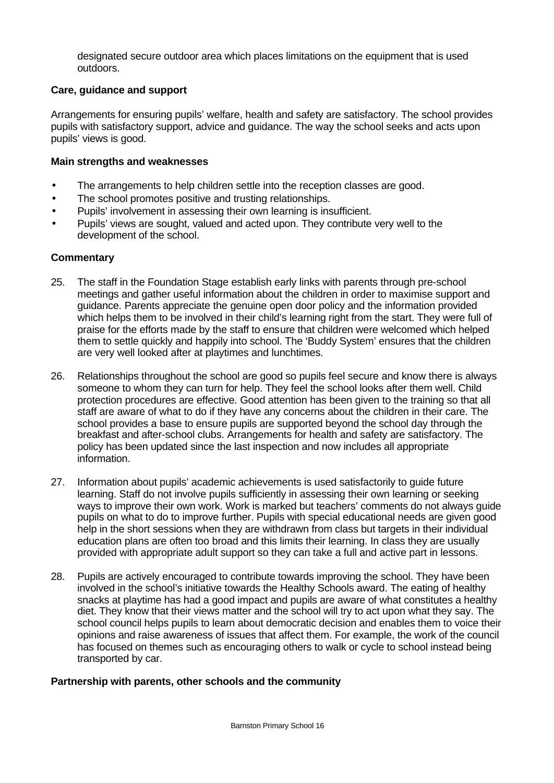designated secure outdoor area which places limitations on the equipment that is used outdoors.

## **Care, guidance and support**

Arrangements for ensuring pupils' welfare, health and safety are satisfactory. The school provides pupils with satisfactory support, advice and guidance. The way the school seeks and acts upon pupils' views is good.

#### **Main strengths and weaknesses**

- The arrangements to help children settle into the reception classes are good.
- The school promotes positive and trusting relationships.
- Pupils' involvement in assessing their own learning is insufficient.
- Pupils' views are sought, valued and acted upon. They contribute very well to the development of the school.

#### **Commentary**

- 25. The staff in the Foundation Stage establish early links with parents through pre-school meetings and gather useful information about the children in order to maximise support and guidance. Parents appreciate the genuine open door policy and the information provided which helps them to be involved in their child's learning right from the start. They were full of praise for the efforts made by the staff to ensure that children were welcomed which helped them to settle quickly and happily into school. The 'Buddy System' ensures that the children are very well looked after at playtimes and lunchtimes.
- 26. Relationships throughout the school are good so pupils feel secure and know there is always someone to whom they can turn for help. They feel the school looks after them well. Child protection procedures are effective. Good attention has been given to the training so that all staff are aware of what to do if they have any concerns about the children in their care. The school provides a base to ensure pupils are supported beyond the school day through the breakfast and after-school clubs. Arrangements for health and safety are satisfactory. The policy has been updated since the last inspection and now includes all appropriate information.
- 27. Information about pupils' academic achievements is used satisfactorily to guide future learning. Staff do not involve pupils sufficiently in assessing their own learning or seeking ways to improve their own work. Work is marked but teachers' comments do not always guide pupils on what to do to improve further. Pupils with special educational needs are given good help in the short sessions when they are withdrawn from class but targets in their individual education plans are often too broad and this limits their learning. In class they are usually provided with appropriate adult support so they can take a full and active part in lessons.
- 28. Pupils are actively encouraged to contribute towards improving the school. They have been involved in the school's initiative towards the Healthy Schools award. The eating of healthy snacks at playtime has had a good impact and pupils are aware of what constitutes a healthy diet. They know that their views matter and the school will try to act upon what they say. The school council helps pupils to learn about democratic decision and enables them to voice their opinions and raise awareness of issues that affect them. For example, the work of the council has focused on themes such as encouraging others to walk or cycle to school instead being transported by car.

#### **Partnership with parents, other schools and the community**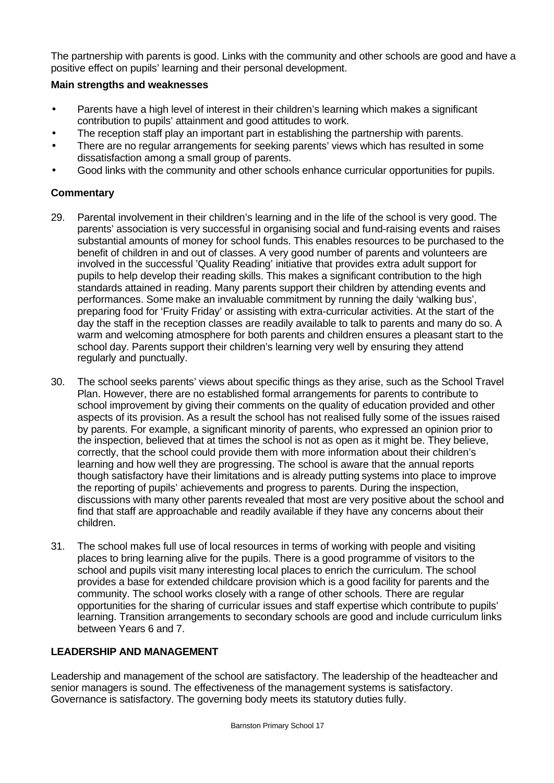The partnership with parents is good. Links with the community and other schools are good and have a positive effect on pupils' learning and their personal development.

## **Main strengths and weaknesses**

- Parents have a high level of interest in their children's learning which makes a significant contribution to pupils' attainment and good attitudes to work.
- The reception staff play an important part in establishing the partnership with parents.
- There are no regular arrangements for seeking parents' views which has resulted in some dissatisfaction among a small group of parents.
- Good links with the community and other schools enhance curricular opportunities for pupils.

## **Commentary**

- 29. Parental involvement in their children's learning and in the life of the school is very good. The parents' association is very successful in organising social and fund-raising events and raises substantial amounts of money for school funds. This enables resources to be purchased to the benefit of children in and out of classes. A very good number of parents and volunteers are involved in the successful 'Quality Reading' initiative that provides extra adult support for pupils to help develop their reading skills. This makes a significant contribution to the high standards attained in reading. Many parents support their children by attending events and performances. Some make an invaluable commitment by running the daily 'walking bus', preparing food for 'Fruity Friday' or assisting with extra-curricular activities. At the start of the day the staff in the reception classes are readily available to talk to parents and many do so. A warm and welcoming atmosphere for both parents and children ensures a pleasant start to the school day. Parents support their children's learning very well by ensuring they attend regularly and punctually.
- 30. The school seeks parents' views about specific things as they arise, such as the School Travel Plan. However, there are no established formal arrangements for parents to contribute to school improvement by giving their comments on the quality of education provided and other aspects of its provision. As a result the school has not realised fully some of the issues raised by parents. For example, a significant minority of parents, who expressed an opinion prior to the inspection, believed that at times the school is not as open as it might be. They believe, correctly, that the school could provide them with more information about their children's learning and how well they are progressing. The school is aware that the annual reports though satisfactory have their limitations and is already putting systems into place to improve the reporting of pupils' achievements and progress to parents. During the inspection, discussions with many other parents revealed that most are very positive about the school and find that staff are approachable and readily available if they have any concerns about their children.
- 31. The school makes full use of local resources in terms of working with people and visiting places to bring learning alive for the pupils. There is a good programme of visitors to the school and pupils visit many interesting local places to enrich the curriculum. The school provides a base for extended childcare provision which is a good facility for parents and the community. The school works closely with a range of other schools. There are regular opportunities for the sharing of curricular issues and staff expertise which contribute to pupils' learning. Transition arrangements to secondary schools are good and include curriculum links between Years 6 and 7.

# **LEADERSHIP AND MANAGEMENT**

Leadership and management of the school are satisfactory. The leadership of the headteacher and senior managers is sound. The effectiveness of the management systems is satisfactory. Governance is satisfactory. The governing body meets its statutory duties fully.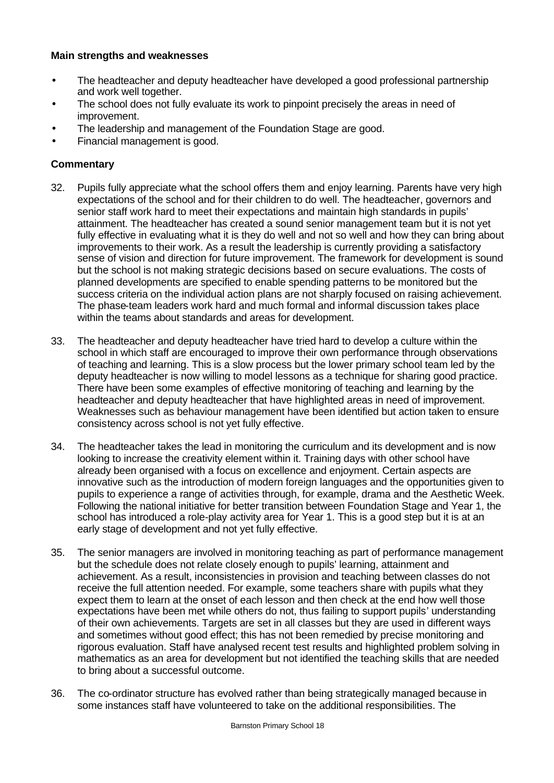#### **Main strengths and weaknesses**

- The headteacher and deputy headteacher have developed a good professional partnership and work well together.
- The school does not fully evaluate its work to pinpoint precisely the areas in need of improvement.
- The leadership and management of the Foundation Stage are good.
- Financial management is good.

- 32. Pupils fully appreciate what the school offers them and enjoy learning. Parents have very high expectations of the school and for their children to do well. The headteacher, governors and senior staff work hard to meet their expectations and maintain high standards in pupils' attainment. The headteacher has created a sound senior management team but it is not yet fully effective in evaluating what it is they do well and not so well and how they can bring about improvements to their work. As a result the leadership is currently providing a satisfactory sense of vision and direction for future improvement. The framework for development is sound but the school is not making strategic decisions based on secure evaluations. The costs of planned developments are specified to enable spending patterns to be monitored but the success criteria on the individual action plans are not sharply focused on raising achievement. The phase-team leaders work hard and much formal and informal discussion takes place within the teams about standards and areas for development.
- 33. The headteacher and deputy headteacher have tried hard to develop a culture within the school in which staff are encouraged to improve their own performance through observations of teaching and learning. This is a slow process but the lower primary school team led by the deputy headteacher is now willing to model lessons as a technique for sharing good practice. There have been some examples of effective monitoring of teaching and learning by the headteacher and deputy headteacher that have highlighted areas in need of improvement. Weaknesses such as behaviour management have been identified but action taken to ensure consistency across school is not yet fully effective.
- 34. The headteacher takes the lead in monitoring the curriculum and its development and is now looking to increase the creativity element within it. Training days with other school have already been organised with a focus on excellence and enjoyment. Certain aspects are innovative such as the introduction of modern foreign languages and the opportunities given to pupils to experience a range of activities through, for example, drama and the Aesthetic Week. Following the national initiative for better transition between Foundation Stage and Year 1, the school has introduced a role-play activity area for Year 1. This is a good step but it is at an early stage of development and not yet fully effective.
- 35. The senior managers are involved in monitoring teaching as part of performance management but the schedule does not relate closely enough to pupils' learning, attainment and achievement. As a result, inconsistencies in provision and teaching between classes do not receive the full attention needed. For example, some teachers share with pupils what they expect them to learn at the onset of each lesson and then check at the end how well those expectations have been met while others do not, thus failing to support pupils' understanding of their own achievements. Targets are set in all classes but they are used in different ways and sometimes without good effect; this has not been remedied by precise monitoring and rigorous evaluation. Staff have analysed recent test results and highlighted problem solving in mathematics as an area for development but not identified the teaching skills that are needed to bring about a successful outcome.
- 36. The co-ordinator structure has evolved rather than being strategically managed because in some instances staff have volunteered to take on the additional responsibilities. The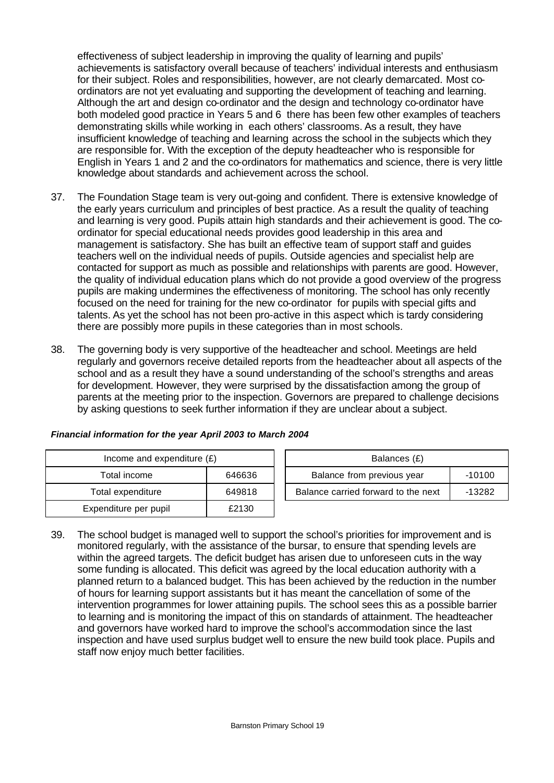effectiveness of subject leadership in improving the quality of learning and pupils' achievements is satisfactory overall because of teachers' individual interests and enthusiasm for their subject. Roles and responsibilities, however, are not clearly demarcated. Most coordinators are not yet evaluating and supporting the development of teaching and learning. Although the art and design co-ordinator and the design and technology co-ordinator have both modeled good practice in Years 5 and 6 there has been few other examples of teachers demonstrating skills while working in each others' classrooms. As a result, they have insufficient knowledge of teaching and learning across the school in the subjects which they are responsible for. With the exception of the deputy headteacher who is responsible for English in Years 1 and 2 and the co-ordinators for mathematics and science, there is very little knowledge about standards and achievement across the school.

- 37. The Foundation Stage team is very out-going and confident. There is extensive knowledge of the early years curriculum and principles of best practice. As a result the quality of teaching and learning is very good. Pupils attain high standards and their achievement is good. The coordinator for special educational needs provides good leadership in this area and management is satisfactory. She has built an effective team of support staff and guides teachers well on the individual needs of pupils. Outside agencies and specialist help are contacted for support as much as possible and relationships with parents are good. However, the quality of individual education plans which do not provide a good overview of the progress pupils are making undermines the effectiveness of monitoring. The school has only recently focused on the need for training for the new co-ordinator for pupils with special gifts and talents. As yet the school has not been pro-active in this aspect which is tardy considering there are possibly more pupils in these categories than in most schools.
- 38. The governing body is very supportive of the headteacher and school. Meetings are held regularly and governors receive detailed reports from the headteacher about all aspects of the school and as a result they have a sound understanding of the school's strengths and areas for development. However, they were surprised by the dissatisfaction among the group of parents at the meeting prior to the inspection. Governors are prepared to challenge decisions by asking questions to seek further information if they are unclear about a subject.

| Income and expenditure $(E)$ |        |  | Balances (£)                   |
|------------------------------|--------|--|--------------------------------|
| Total income                 | 646636 |  | Balance from previous year     |
| Total expenditure            | 649818 |  | Balance carried forward to the |
| Expenditure per pupil        | £2130  |  |                                |

| Financial information for the year April 2003 to March 2004 |  |  |  |  |
|-------------------------------------------------------------|--|--|--|--|

| Income and expenditure $(E)$ |        | Balances (£)                           |        |  |  |
|------------------------------|--------|----------------------------------------|--------|--|--|
| Total income                 | 646636 | Balance from previous year<br>$-10100$ |        |  |  |
| Total expenditure            | 649818 | Balance carried forward to the next    | -13282 |  |  |

39. The school budget is managed well to support the school's priorities for improvement and is monitored regularly, with the assistance of the bursar, to ensure that spending levels are within the agreed targets. The deficit budget has arisen due to unforeseen cuts in the way some funding is allocated. This deficit was agreed by the local education authority with a planned return to a balanced budget. This has been achieved by the reduction in the number of hours for learning support assistants but it has meant the cancellation of some of the intervention programmes for lower attaining pupils. The school sees this as a possible barrier to learning and is monitoring the impact of this on standards of attainment. The headteacher and governors have worked hard to improve the school's accommodation since the last inspection and have used surplus budget well to ensure the new build took place. Pupils and staff now enjoy much better facilities.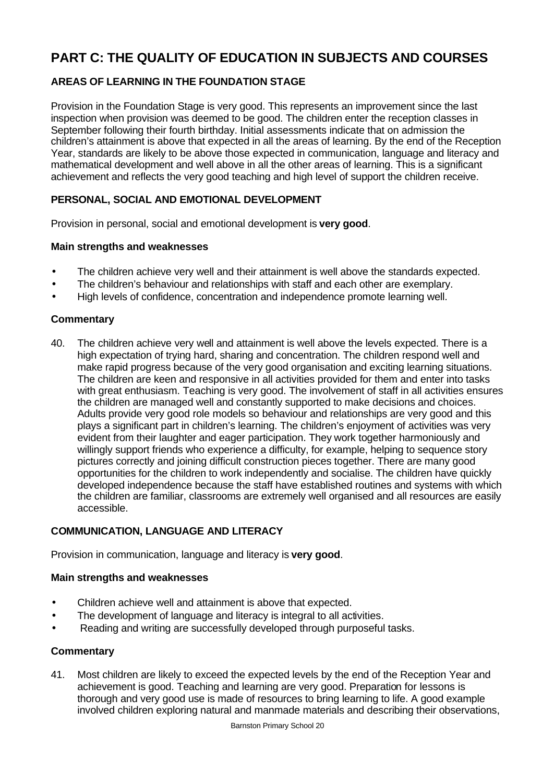# **PART C: THE QUALITY OF EDUCATION IN SUBJECTS AND COURSES**

# **AREAS OF LEARNING IN THE FOUNDATION STAGE**

Provision in the Foundation Stage is very good. This represents an improvement since the last inspection when provision was deemed to be good. The children enter the reception classes in September following their fourth birthday. Initial assessments indicate that on admission the children's attainment is above that expected in all the areas of learning. By the end of the Reception Year, standards are likely to be above those expected in communication, language and literacy and mathematical development and well above in all the other areas of learning. This is a significant achievement and reflects the very good teaching and high level of support the children receive.

## **PERSONAL, SOCIAL AND EMOTIONAL DEVELOPMENT**

Provision in personal, social and emotional development is **very good**.

### **Main strengths and weaknesses**

- The children achieve very well and their attainment is well above the standards expected.
- The children's behaviour and relationships with staff and each other are exemplary.
- High levels of confidence, concentration and independence promote learning well.

## **Commentary**

40. The children achieve very well and attainment is well above the levels expected. There is a high expectation of trying hard, sharing and concentration. The children respond well and make rapid progress because of the very good organisation and exciting learning situations. The children are keen and responsive in all activities provided for them and enter into tasks with great enthusiasm. Teaching is very good. The involvement of staff in all activities ensures the children are managed well and constantly supported to make decisions and choices. Adults provide very good role models so behaviour and relationships are very good and this plays a significant part in children's learning. The children's enjoyment of activities was very evident from their laughter and eager participation. They work together harmoniously and willingly support friends who experience a difficulty, for example, helping to sequence story pictures correctly and joining difficult construction pieces together. There are many good opportunities for the children to work independently and socialise. The children have quickly developed independence because the staff have established routines and systems with which the children are familiar, classrooms are extremely well organised and all resources are easily accessible.

## **COMMUNICATION, LANGUAGE AND LITERACY**

Provision in communication, language and literacy is **very good**.

#### **Main strengths and weaknesses**

- Children achieve well and attainment is above that expected.
- The development of language and literacy is integral to all activities.
- Reading and writing are successfully developed through purposeful tasks.

#### **Commentary**

41. Most children are likely to exceed the expected levels by the end of the Reception Year and achievement is good. Teaching and learning are very good. Preparation for lessons is thorough and very good use is made of resources to bring learning to life. A good example involved children exploring natural and manmade materials and describing their observations,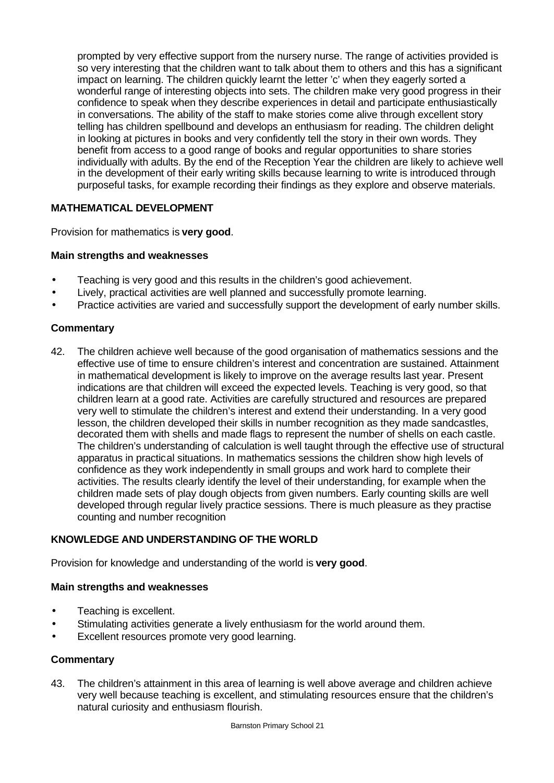prompted by very effective support from the nursery nurse. The range of activities provided is so very interesting that the children want to talk about them to others and this has a significant impact on learning. The children quickly learnt the letter 'c' when they eagerly sorted a wonderful range of interesting objects into sets. The children make very good progress in their confidence to speak when they describe experiences in detail and participate enthusiastically in conversations. The ability of the staff to make stories come alive through excellent story telling has children spellbound and develops an enthusiasm for reading. The children delight in looking at pictures in books and very confidently tell the story in their own words. They benefit from access to a good range of books and regular opportunities to share stories individually with adults. By the end of the Reception Year the children are likely to achieve well in the development of their early writing skills because learning to write is introduced through purposeful tasks, for example recording their findings as they explore and observe materials.

## **MATHEMATICAL DEVELOPMENT**

Provision for mathematics is **very good**.

### **Main strengths and weaknesses**

- Teaching is very good and this results in the children's good achievement.
- Lively, practical activities are well planned and successfully promote learning.
- Practice activities are varied and successfully support the development of early number skills.

### **Commentary**

42. The children achieve well because of the good organisation of mathematics sessions and the effective use of time to ensure children's interest and concentration are sustained. Attainment in mathematical development is likely to improve on the average results last year. Present indications are that children will exceed the expected levels. Teaching is very good, so that children learn at a good rate. Activities are carefully structured and resources are prepared very well to stimulate the children's interest and extend their understanding. In a very good lesson, the children developed their skills in number recognition as they made sandcastles, decorated them with shells and made flags to represent the number of shells on each castle. The children's understanding of calculation is well taught through the effective use of structural apparatus in practical situations. In mathematics sessions the children show high levels of confidence as they work independently in small groups and work hard to complete their activities. The results clearly identify the level of their understanding, for example when the children made sets of play dough objects from given numbers. Early counting skills are well developed through regular lively practice sessions. There is much pleasure as they practise counting and number recognition

## **KNOWLEDGE AND UNDERSTANDING OF THE WORLD**

Provision for knowledge and understanding of the world is **very good**.

#### **Main strengths and weaknesses**

- Teaching is excellent.
- Stimulating activities generate a lively enthusiasm for the world around them.
- Excellent resources promote very good learning.

## **Commentary**

43. The children's attainment in this area of learning is well above average and children achieve very well because teaching is excellent, and stimulating resources ensure that the children's natural curiosity and enthusiasm flourish.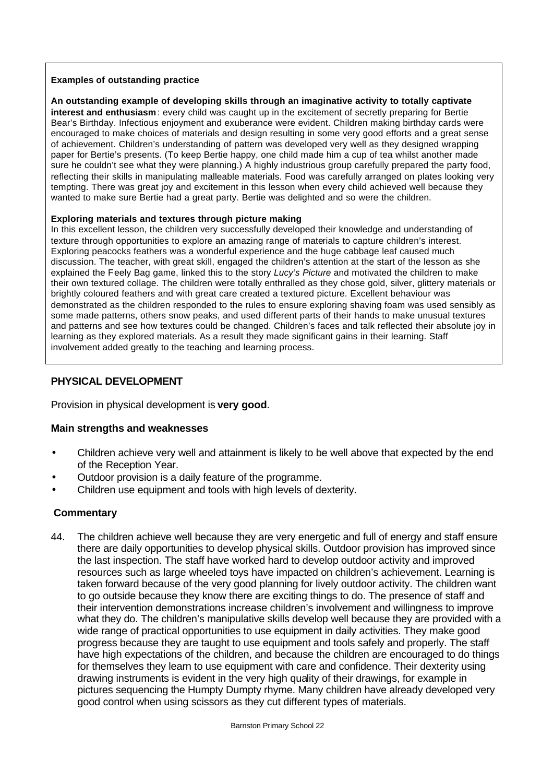#### **Examples of outstanding practice**

**An outstanding example of developing skills through an imaginative activity to totally captivate interest and enthusiasm**: every child was caught up in the excitement of secretly preparing for Bertie Bear's Birthday. Infectious enjoyment and exuberance were evident. Children making birthday cards were encouraged to make choices of materials and design resulting in some very good efforts and a great sense of achievement. Children's understanding of pattern was developed very well as they designed wrapping paper for Bertie's presents. (To keep Bertie happy, one child made him a cup of tea whilst another made sure he couldn't see what they were planning.) A highly industrious group carefully prepared the party food, reflecting their skills in manipulating malleable materials. Food was carefully arranged on plates looking very tempting. There was great joy and excitement in this lesson when every child achieved well because they wanted to make sure Bertie had a great party. Bertie was delighted and so were the children.

#### **Exploring materials and textures through picture making**

In this excellent lesson, the children very successfully developed their knowledge and understanding of texture through opportunities to explore an amazing range of materials to capture children's interest. Exploring peacocks feathers was a wonderful experience and the huge cabbage leaf caused much discussion. The teacher, with great skill, engaged the children's attention at the start of the lesson as she explained the Feely Bag game, linked this to the story *Lucy's Picture* and motivated the children to make their own textured collage. The children were totally enthralled as they chose gold, silver, glittery materials or brightly coloured feathers and with great care created a textured picture. Excellent behaviour was demonstrated as the children responded to the rules to ensure exploring shaving foam was used sensibly as some made patterns, others snow peaks, and used different parts of their hands to make unusual textures and patterns and see how textures could be changed. Children's faces and talk reflected their absolute joy in learning as they explored materials. As a result they made significant gains in their learning. Staff involvement added greatly to the teaching and learning process.

#### **PHYSICAL DEVELOPMENT**

Provision in physical development is **very good**.

#### **Main strengths and weaknesses**

- Children achieve very well and attainment is likely to be well above that expected by the end of the Reception Year.
- Outdoor provision is a daily feature of the programme.
- Children use equipment and tools with high levels of dexterity.

#### **Commentary**

44. The children achieve well because they are very energetic and full of energy and staff ensure there are daily opportunities to develop physical skills. Outdoor provision has improved since the last inspection. The staff have worked hard to develop outdoor activity and improved resources such as large wheeled toys have impacted on children's achievement. Learning is taken forward because of the very good planning for lively outdoor activity. The children want to go outside because they know there are exciting things to do. The presence of staff and their intervention demonstrations increase children's involvement and willingness to improve what they do. The children's manipulative skills develop well because they are provided with a wide range of practical opportunities to use equipment in daily activities. They make good progress because they are taught to use equipment and tools safely and properly. The staff have high expectations of the children, and because the children are encouraged to do things for themselves they learn to use equipment with care and confidence. Their dexterity using drawing instruments is evident in the very high quality of their drawings, for example in pictures sequencing the Humpty Dumpty rhyme. Many children have already developed very good control when using scissors as they cut different types of materials.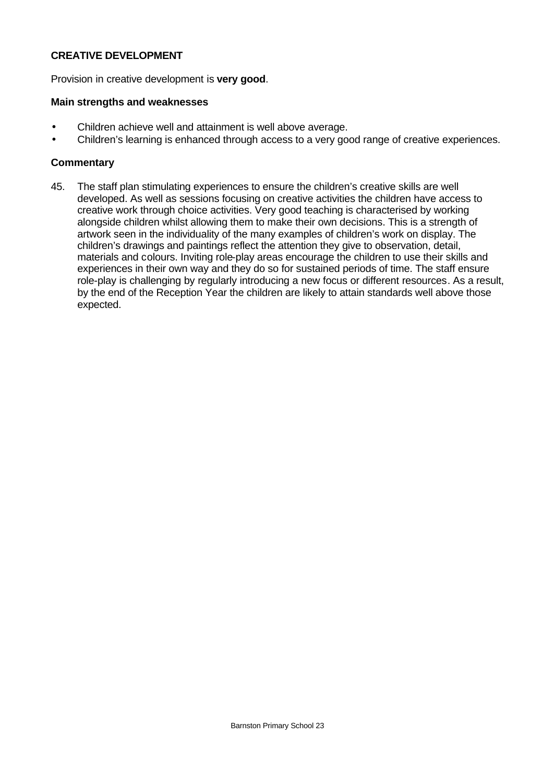#### **CREATIVE DEVELOPMENT**

Provision in creative development is **very good**.

#### **Main strengths and weaknesses**

- Children achieve well and attainment is well above average.
- Children's learning is enhanced through access to a very good range of creative experiences.

#### **Commentary**

45. The staff plan stimulating experiences to ensure the children's creative skills are well developed. As well as sessions focusing on creative activities the children have access to creative work through choice activities. Very good teaching is characterised by working alongside children whilst allowing them to make their own decisions. This is a strength of artwork seen in the individuality of the many examples of children's work on display. The children's drawings and paintings reflect the attention they give to observation, detail, materials and colours. Inviting role-play areas encourage the children to use their skills and experiences in their own way and they do so for sustained periods of time. The staff ensure role-play is challenging by regularly introducing a new focus or different resources. As a result, by the end of the Reception Year the children are likely to attain standards well above those expected.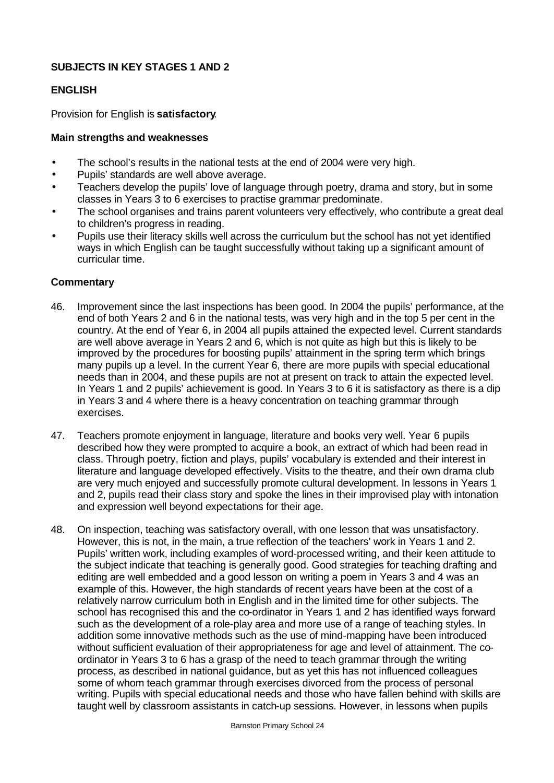## **SUBJECTS IN KEY STAGES 1 AND 2**

## **ENGLISH**

Provision for English is **satisfactory**.

## **Main strengths and weaknesses**

- The school's results in the national tests at the end of 2004 were very high.
- Pupils' standards are well above average.
- Teachers develop the pupils' love of language through poetry, drama and story, but in some classes in Years 3 to 6 exercises to practise grammar predominate.
- The school organises and trains parent volunteers very effectively, who contribute a great deal to children's progress in reading.
- Pupils use their literacy skills well across the curriculum but the school has not yet identified ways in which English can be taught successfully without taking up a significant amount of curricular time.

- 46. Improvement since the last inspections has been good. In 2004 the pupils' performance, at the end of both Years 2 and 6 in the national tests, was very high and in the top 5 per cent in the country. At the end of Year 6, in 2004 all pupils attained the expected level. Current standards are well above average in Years 2 and 6, which is not quite as high but this is likely to be improved by the procedures for boosting pupils' attainment in the spring term which brings many pupils up a level. In the current Year 6, there are more pupils with special educational needs than in 2004, and these pupils are not at present on track to attain the expected level. In Years 1 and 2 pupils' achievement is good. In Years 3 to 6 it is satisfactory as there is a dip in Years 3 and 4 where there is a heavy concentration on teaching grammar through exercises.
- 47. Teachers promote enjoyment in language, literature and books very well. Year 6 pupils described how they were prompted to acquire a book, an extract of which had been read in class. Through poetry, fiction and plays, pupils' vocabulary is extended and their interest in literature and language developed effectively. Visits to the theatre, and their own drama club are very much enjoyed and successfully promote cultural development. In lessons in Years 1 and 2, pupils read their class story and spoke the lines in their improvised play with intonation and expression well beyond expectations for their age.
- 48. On inspection, teaching was satisfactory overall, with one lesson that was unsatisfactory. However, this is not, in the main, a true reflection of the teachers' work in Years 1 and 2. Pupils' written work, including examples of word-processed writing, and their keen attitude to the subject indicate that teaching is generally good. Good strategies for teaching drafting and editing are well embedded and a good lesson on writing a poem in Years 3 and 4 was an example of this. However, the high standards of recent years have been at the cost of a relatively narrow curriculum both in English and in the limited time for other subjects. The school has recognised this and the co-ordinator in Years 1 and 2 has identified ways forward such as the development of a role-play area and more use of a range of teaching styles. In addition some innovative methods such as the use of mind-mapping have been introduced without sufficient evaluation of their appropriateness for age and level of attainment. The coordinator in Years 3 to 6 has a grasp of the need to teach grammar through the writing process, as described in national guidance, but as yet this has not influenced colleagues some of whom teach grammar through exercises divorced from the process of personal writing. Pupils with special educational needs and those who have fallen behind with skills are taught well by classroom assistants in catch-up sessions. However, in lessons when pupils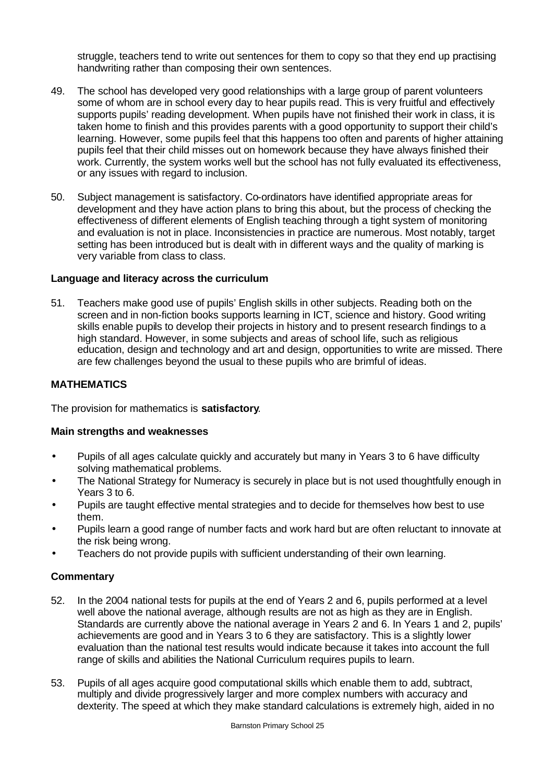struggle, teachers tend to write out sentences for them to copy so that they end up practising handwriting rather than composing their own sentences.

- 49. The school has developed very good relationships with a large group of parent volunteers some of whom are in school every day to hear pupils read. This is very fruitful and effectively supports pupils' reading development. When pupils have not finished their work in class, it is taken home to finish and this provides parents with a good opportunity to support their child's learning. However, some pupils feel that this happens too often and parents of higher attaining pupils feel that their child misses out on homework because they have always finished their work. Currently, the system works well but the school has not fully evaluated its effectiveness, or any issues with regard to inclusion.
- 50. Subject management is satisfactory. Co-ordinators have identified appropriate areas for development and they have action plans to bring this about, but the process of checking the effectiveness of different elements of English teaching through a tight system of monitoring and evaluation is not in place. Inconsistencies in practice are numerous. Most notably, target setting has been introduced but is dealt with in different ways and the quality of marking is very variable from class to class.

#### **Language and literacy across the curriculum**

51. Teachers make good use of pupils' English skills in other subjects. Reading both on the screen and in non-fiction books supports learning in ICT, science and history. Good writing skills enable pupils to develop their projects in history and to present research findings to a high standard. However, in some subjects and areas of school life, such as religious education, design and technology and art and design, opportunities to write are missed. There are few challenges beyond the usual to these pupils who are brimful of ideas.

#### **MATHEMATICS**

The provision for mathematics is **satisfactory**.

#### **Main strengths and weaknesses**

- Pupils of all ages calculate quickly and accurately but many in Years 3 to 6 have difficulty solving mathematical problems.
- The National Strategy for Numeracy is securely in place but is not used thoughtfully enough in Years 3 to 6.
- Pupils are taught effective mental strategies and to decide for themselves how best to use them.
- Pupils learn a good range of number facts and work hard but are often reluctant to innovate at the risk being wrong.
- Teachers do not provide pupils with sufficient understanding of their own learning.

- 52. In the 2004 national tests for pupils at the end of Years 2 and 6, pupils performed at a level well above the national average, although results are not as high as they are in English. Standards are currently above the national average in Years 2 and 6. In Years 1 and 2, pupils' achievements are good and in Years 3 to 6 they are satisfactory. This is a slightly lower evaluation than the national test results would indicate because it takes into account the full range of skills and abilities the National Curriculum requires pupils to learn.
- 53. Pupils of all ages acquire good computational skills which enable them to add, subtract, multiply and divide progressively larger and more complex numbers with accuracy and dexterity. The speed at which they make standard calculations is extremely high, aided in no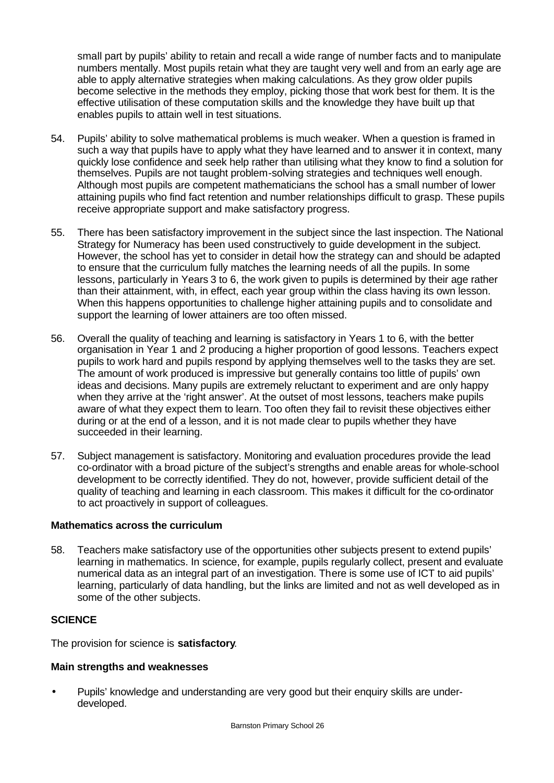small part by pupils' ability to retain and recall a wide range of number facts and to manipulate numbers mentally. Most pupils retain what they are taught very well and from an early age are able to apply alternative strategies when making calculations. As they grow older pupils become selective in the methods they employ, picking those that work best for them. It is the effective utilisation of these computation skills and the knowledge they have built up that enables pupils to attain well in test situations.

- 54. Pupils' ability to solve mathematical problems is much weaker. When a question is framed in such a way that pupils have to apply what they have learned and to answer it in context, many quickly lose confidence and seek help rather than utilising what they know to find a solution for themselves. Pupils are not taught problem-solving strategies and techniques well enough. Although most pupils are competent mathematicians the school has a small number of lower attaining pupils who find fact retention and number relationships difficult to grasp. These pupils receive appropriate support and make satisfactory progress.
- 55. There has been satisfactory improvement in the subject since the last inspection. The National Strategy for Numeracy has been used constructively to guide development in the subject. However, the school has yet to consider in detail how the strategy can and should be adapted to ensure that the curriculum fully matches the learning needs of all the pupils. In some lessons, particularly in Years 3 to 6, the work given to pupils is determined by their age rather than their attainment, with, in effect, each year group within the class having its own lesson. When this happens opportunities to challenge higher attaining pupils and to consolidate and support the learning of lower attainers are too often missed.
- 56. Overall the quality of teaching and learning is satisfactory in Years 1 to 6, with the better organisation in Year 1 and 2 producing a higher proportion of good lessons. Teachers expect pupils to work hard and pupils respond by applying themselves well to the tasks they are set. The amount of work produced is impressive but generally contains too little of pupils' own ideas and decisions. Many pupils are extremely reluctant to experiment and are only happy when they arrive at the 'right answer'. At the outset of most lessons, teachers make pupils aware of what they expect them to learn. Too often they fail to revisit these objectives either during or at the end of a lesson, and it is not made clear to pupils whether they have succeeded in their learning.
- 57. Subject management is satisfactory. Monitoring and evaluation procedures provide the lead co-ordinator with a broad picture of the subject's strengths and enable areas for whole-school development to be correctly identified. They do not, however, provide sufficient detail of the quality of teaching and learning in each classroom. This makes it difficult for the co-ordinator to act proactively in support of colleagues.

#### **Mathematics across the curriculum**

58. Teachers make satisfactory use of the opportunities other subjects present to extend pupils' learning in mathematics. In science, for example, pupils regularly collect, present and evaluate numerical data as an integral part of an investigation. There is some use of ICT to aid pupils' learning, particularly of data handling, but the links are limited and not as well developed as in some of the other subjects.

## **SCIENCE**

The provision for science is **satisfactory**.

## **Main strengths and weaknesses**

• Pupils' knowledge and understanding are very good but their enquiry skills are underdeveloped.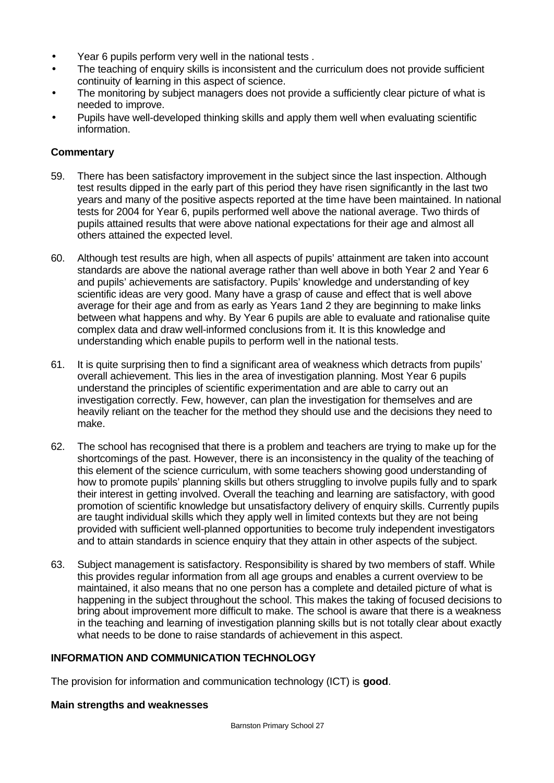- Year 6 pupils perform very well in the national tests.
- The teaching of enquiry skills is inconsistent and the curriculum does not provide sufficient continuity of learning in this aspect of science.
- The monitoring by subject managers does not provide a sufficiently clear picture of what is needed to improve.
- Pupils have well-developed thinking skills and apply them well when evaluating scientific information.

### **Commentary**

- 59. There has been satisfactory improvement in the subject since the last inspection. Although test results dipped in the early part of this period they have risen significantly in the last two years and many of the positive aspects reported at the time have been maintained. In national tests for 2004 for Year 6, pupils performed well above the national average. Two thirds of pupils attained results that were above national expectations for their age and almost all others attained the expected level.
- 60. Although test results are high, when all aspects of pupils' attainment are taken into account standards are above the national average rather than well above in both Year 2 and Year 6 and pupils' achievements are satisfactory. Pupils' knowledge and understanding of key scientific ideas are very good. Many have a grasp of cause and effect that is well above average for their age and from as early as Years 1and 2 they are beginning to make links between what happens and why. By Year 6 pupils are able to evaluate and rationalise quite complex data and draw well-informed conclusions from it. It is this knowledge and understanding which enable pupils to perform well in the national tests.
- 61. It is quite surprising then to find a significant area of weakness which detracts from pupils' overall achievement. This lies in the area of investigation planning. Most Year 6 pupils understand the principles of scientific experimentation and are able to carry out an investigation correctly. Few, however, can plan the investigation for themselves and are heavily reliant on the teacher for the method they should use and the decisions they need to make.
- 62. The school has recognised that there is a problem and teachers are trying to make up for the shortcomings of the past. However, there is an inconsistency in the quality of the teaching of this element of the science curriculum, with some teachers showing good understanding of how to promote pupils' planning skills but others struggling to involve pupils fully and to spark their interest in getting involved. Overall the teaching and learning are satisfactory, with good promotion of scientific knowledge but unsatisfactory delivery of enquiry skills. Currently pupils are taught individual skills which they apply well in limited contexts but they are not being provided with sufficient well-planned opportunities to become truly independent investigators and to attain standards in science enquiry that they attain in other aspects of the subject.
- 63. Subject management is satisfactory. Responsibility is shared by two members of staff. While this provides regular information from all age groups and enables a current overview to be maintained, it also means that no one person has a complete and detailed picture of what is happening in the subject throughout the school. This makes the taking of focused decisions to bring about improvement more difficult to make. The school is aware that there is a weakness in the teaching and learning of investigation planning skills but is not totally clear about exactly what needs to be done to raise standards of achievement in this aspect.

#### **INFORMATION AND COMMUNICATION TECHNOLOGY**

The provision for information and communication technology (ICT) is **good**.

#### **Main strengths and weaknesses**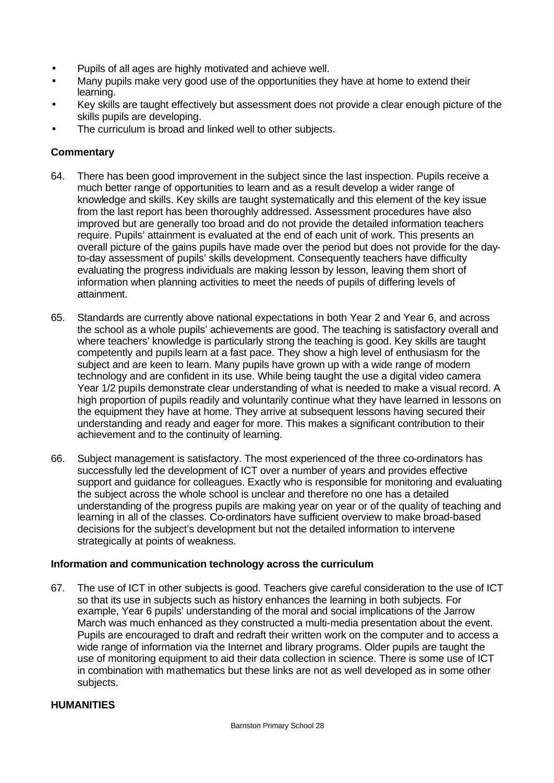- Pupils of all ages are highly motivated and achieve well.
- Many pupils make very good use of the opportunities they have at home to extend their learning.
- Key skills are taught effectively but assessment does not provide a clear enough picture of the skills pupils are developing.
- The curriculum is broad and linked well to other subjects.

# **Commentary**

- 64. There has been good improvement in the subject since the last inspection. Pupils receive a much better range of opportunities to learn and as a result develop a wider range of knowledge and skills. Key skills are taught systematically and this element of the key issue from the last report has been thoroughly addressed. Assessment procedures have also improved but are generally too broad and do not provide the detailed information teachers require. Pupils' attainment is evaluated at the end of each unit of work. This presents an overall picture of the gains pupils have made over the period but does not provide for the dayto-day assessment of pupils' skills development. Consequently teachers have difficulty evaluating the progress individuals are making lesson by lesson, leaving them short of information when planning activities to meet the needs of pupils of differing levels of attainment.
- 65. Standards are currently above national expectations in both Year 2 and Year 6, and across the school as a whole pupils' achievements are good. The teaching is satisfactory overall and where teachers' knowledge is particularly strong the teaching is good. Key skills are taught competently and pupils learn at a fast pace. They show a high level of enthusiasm for the subject and are keen to learn. Many pupils have grown up with a wide range of modern technology and are confident in its use. While being taught the use a digital video camera Year 1/2 pupils demonstrate clear understanding of what is needed to make a visual record. A high proportion of pupils readily and voluntarily continue what they have learned in lessons on the equipment they have at home. They arrive at subsequent lessons having secured their understanding and ready and eager for more. This makes a significant contribution to their achievement and to the continuity of learning.
- 66. Subject management is satisfactory. The most experienced of the three co-ordinators has successfully led the development of ICT over a number of years and provides effective support and guidance for colleagues. Exactly who is responsible for monitoring and evaluating the subject across the whole school is unclear and therefore no one has a detailed understanding of the progress pupils are making year on year or of the quality of teaching and learning in all of the classes. Co-ordinators have sufficient overview to make broad-based decisions for the subject's development but not the detailed information to intervene strategically at points of weakness.

## **Information and communication technology across the curriculum**

67. The use of ICT in other subjects is good. Teachers give careful consideration to the use of ICT so that its use in subjects such as history enhances the learning in both subjects. For example, Year 6 pupils' understanding of the moral and social implications of the Jarrow March was much enhanced as they constructed a multi-media presentation about the event. Pupils are encouraged to draft and redraft their written work on the computer and to access a wide range of information via the Internet and library programs. Older pupils are taught the use of monitoring equipment to aid their data collection in science. There is some use of ICT in combination with mathematics but these links are not as well developed as in some other subjects.

## **HUMANITIES**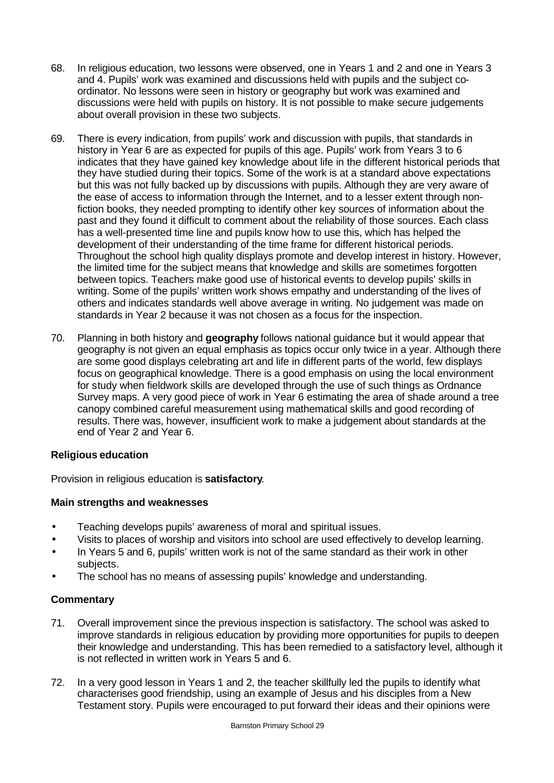- 68. In religious education, two lessons were observed, one in Years 1 and 2 and one in Years 3 and 4. Pupils' work was examined and discussions held with pupils and the subject coordinator. No lessons were seen in history or geography but work was examined and discussions were held with pupils on history. It is not possible to make secure judgements about overall provision in these two subjects.
- 69. There is every indication, from pupils' work and discussion with pupils, that standards in history in Year 6 are as expected for pupils of this age. Pupils' work from Years 3 to 6 indicates that they have gained key knowledge about life in the different historical periods that they have studied during their topics. Some of the work is at a standard above expectations but this was not fully backed up by discussions with pupils. Although they are very aware of the ease of access to information through the Internet, and to a lesser extent through nonfiction books, they needed prompting to identify other key sources of information about the past and they found it difficult to comment about the reliability of those sources. Each class has a well-presented time line and pupils know how to use this, which has helped the development of their understanding of the time frame for different historical periods. Throughout the school high quality displays promote and develop interest in history. However, the limited time for the subject means that knowledge and skills are sometimes forgotten between topics. Teachers make good use of historical events to develop pupils' skills in writing. Some of the pupils' written work shows empathy and understanding of the lives of others and indicates standards well above average in writing. No judgement was made on standards in Year 2 because it was not chosen as a focus for the inspection.
- 70. Planning in both history and **geography** follows national guidance but it would appear that geography is not given an equal emphasis as topics occur only twice in a year. Although there are some good displays celebrating art and life in different parts of the world, few displays focus on geographical knowledge. There is a good emphasis on using the local environment for study when fieldwork skills are developed through the use of such things as Ordnance Survey maps. A very good piece of work in Year 6 estimating the area of shade around a tree canopy combined careful measurement using mathematical skills and good recording of results. There was, however, insufficient work to make a judgement about standards at the end of Year 2 and Year 6.

## **Religious education**

Provision in religious education is **satisfactory**.

## **Main strengths and weaknesses**

- Teaching develops pupils' awareness of moral and spiritual issues.
- Visits to places of worship and visitors into school are used effectively to develop learning.
- In Years 5 and 6, pupils' written work is not of the same standard as their work in other subjects.
- The school has no means of assessing pupils' knowledge and understanding.

- 71. Overall improvement since the previous inspection is satisfactory. The school was asked to improve standards in religious education by providing more opportunities for pupils to deepen their knowledge and understanding. This has been remedied to a satisfactory level, although it is not reflected in written work in Years 5 and 6.
- 72. In a very good lesson in Years 1 and 2, the teacher skillfully led the pupils to identify what characterises good friendship, using an example of Jesus and his disciples from a New Testament story. Pupils were encouraged to put forward their ideas and their opinions were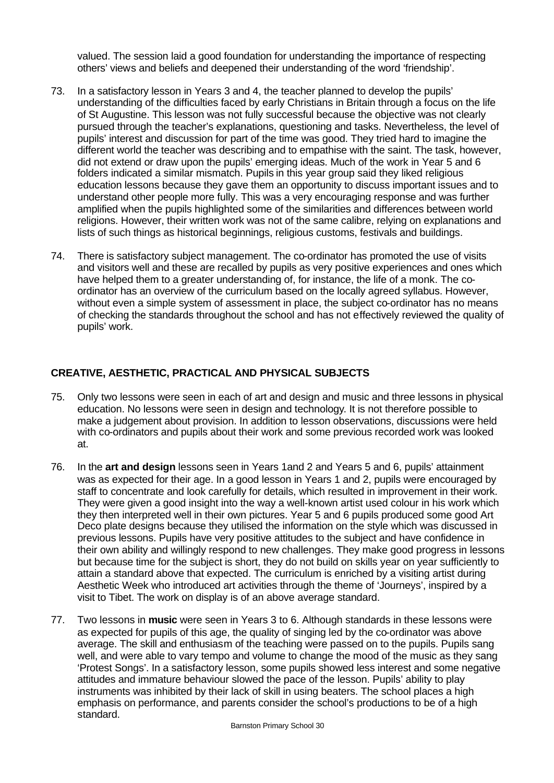valued. The session laid a good foundation for understanding the importance of respecting others' views and beliefs and deepened their understanding of the word 'friendship'.

- 73. In a satisfactory lesson in Years 3 and 4, the teacher planned to develop the pupils' understanding of the difficulties faced by early Christians in Britain through a focus on the life of St Augustine. This lesson was not fully successful because the objective was not clearly pursued through the teacher's explanations, questioning and tasks. Nevertheless, the level of pupils' interest and discussion for part of the time was good. They tried hard to imagine the different world the teacher was describing and to empathise with the saint. The task, however, did not extend or draw upon the pupils' emerging ideas. Much of the work in Year 5 and 6 folders indicated a similar mismatch. Pupils in this year group said they liked religious education lessons because they gave them an opportunity to discuss important issues and to understand other people more fully. This was a very encouraging response and was further amplified when the pupils highlighted some of the similarities and differences between world religions. However, their written work was not of the same calibre, relying on explanations and lists of such things as historical beginnings, religious customs, festivals and buildings.
- 74. There is satisfactory subject management. The co-ordinator has promoted the use of visits and visitors well and these are recalled by pupils as very positive experiences and ones which have helped them to a greater understanding of, for instance, the life of a monk. The coordinator has an overview of the curriculum based on the locally agreed syllabus. However, without even a simple system of assessment in place, the subject co-ordinator has no means of checking the standards throughout the school and has not effectively reviewed the quality of pupils' work.

### **CREATIVE, AESTHETIC, PRACTICAL AND PHYSICAL SUBJECTS**

- 75. Only two lessons were seen in each of art and design and music and three lessons in physical education. No lessons were seen in design and technology. It is not therefore possible to make a judgement about provision. In addition to lesson observations, discussions were held with co-ordinators and pupils about their work and some previous recorded work was looked at.
- 76. In the **art and design** lessons seen in Years 1and 2 and Years 5 and 6, pupils' attainment was as expected for their age. In a good lesson in Years 1 and 2, pupils were encouraged by staff to concentrate and look carefully for details, which resulted in improvement in their work. They were given a good insight into the way a well-known artist used colour in his work which they then interpreted well in their own pictures. Year 5 and 6 pupils produced some good Art Deco plate designs because they utilised the information on the style which was discussed in previous lessons. Pupils have very positive attitudes to the subject and have confidence in their own ability and willingly respond to new challenges. They make good progress in lessons but because time for the subject is short, they do not build on skills year on year sufficiently to attain a standard above that expected. The curriculum is enriched by a visiting artist during Aesthetic Week who introduced art activities through the theme of 'Journeys', inspired by a visit to Tibet. The work on display is of an above average standard.
- 77. Two lessons in **music** were seen in Years 3 to 6. Although standards in these lessons were as expected for pupils of this age, the quality of singing led by the co-ordinator was above average. The skill and enthusiasm of the teaching were passed on to the pupils. Pupils sang well, and were able to vary tempo and volume to change the mood of the music as they sang 'Protest Songs'. In a satisfactory lesson, some pupils showed less interest and some negative attitudes and immature behaviour slowed the pace of the lesson. Pupils' ability to play instruments was inhibited by their lack of skill in using beaters. The school places a high emphasis on performance, and parents consider the school's productions to be of a high standard.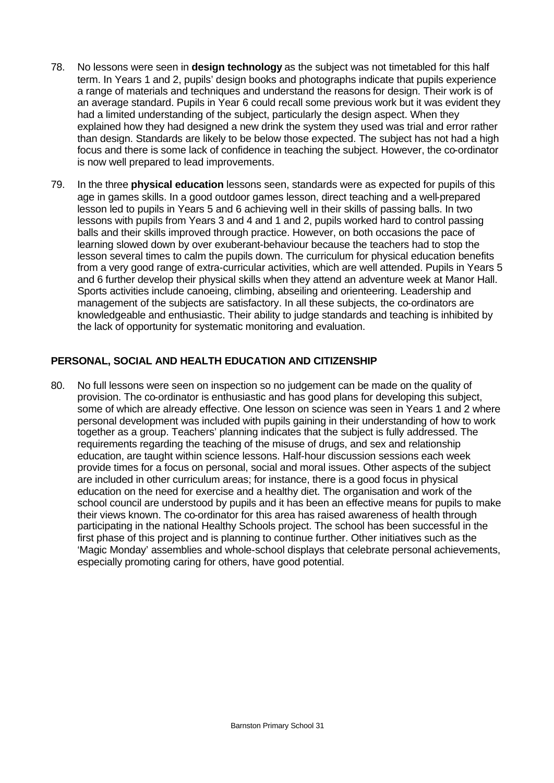- 78. No lessons were seen in **design technology** as the subject was not timetabled for this half term. In Years 1 and 2, pupils' design books and photographs indicate that pupils experience a range of materials and techniques and understand the reasons for design. Their work is of an average standard. Pupils in Year 6 could recall some previous work but it was evident they had a limited understanding of the subject, particularly the design aspect. When they explained how they had designed a new drink the system they used was trial and error rather than design. Standards are likely to be below those expected. The subject has not had a high focus and there is some lack of confidence in teaching the subject. However, the co-ordinator is now well prepared to lead improvements.
- 79. In the three **physical education** lessons seen, standards were as expected for pupils of this age in games skills. In a good outdoor games lesson, direct teaching and a well-prepared lesson led to pupils in Years 5 and 6 achieving well in their skills of passing balls. In two lessons with pupils from Years 3 and 4 and 1 and 2, pupils worked hard to control passing balls and their skills improved through practice. However, on both occasions the pace of learning slowed down by over exuberant-behaviour because the teachers had to stop the lesson several times to calm the pupils down. The curriculum for physical education benefits from a very good range of extra-curricular activities, which are well attended. Pupils in Years 5 and 6 further develop their physical skills when they attend an adventure week at Manor Hall. Sports activities include canoeing, climbing, abseiling and orienteering. Leadership and management of the subjects are satisfactory. In all these subjects, the co-ordinators are knowledgeable and enthusiastic. Their ability to judge standards and teaching is inhibited by the lack of opportunity for systematic monitoring and evaluation.

## **PERSONAL, SOCIAL AND HEALTH EDUCATION AND CITIZENSHIP**

80. No full lessons were seen on inspection so no judgement can be made on the quality of provision. The co-ordinator is enthusiastic and has good plans for developing this subject, some of which are already effective. One lesson on science was seen in Years 1 and 2 where personal development was included with pupils gaining in their understanding of how to work together as a group. Teachers' planning indicates that the subject is fully addressed. The requirements regarding the teaching of the misuse of drugs, and sex and relationship education, are taught within science lessons. Half-hour discussion sessions each week provide times for a focus on personal, social and moral issues. Other aspects of the subject are included in other curriculum areas; for instance, there is a good focus in physical education on the need for exercise and a healthy diet. The organisation and work of the school council are understood by pupils and it has been an effective means for pupils to make their views known. The co-ordinator for this area has raised awareness of health through participating in the national Healthy Schools project. The school has been successful in the first phase of this project and is planning to continue further. Other initiatives such as the 'Magic Monday' assemblies and whole-school displays that celebrate personal achievements, especially promoting caring for others, have good potential.